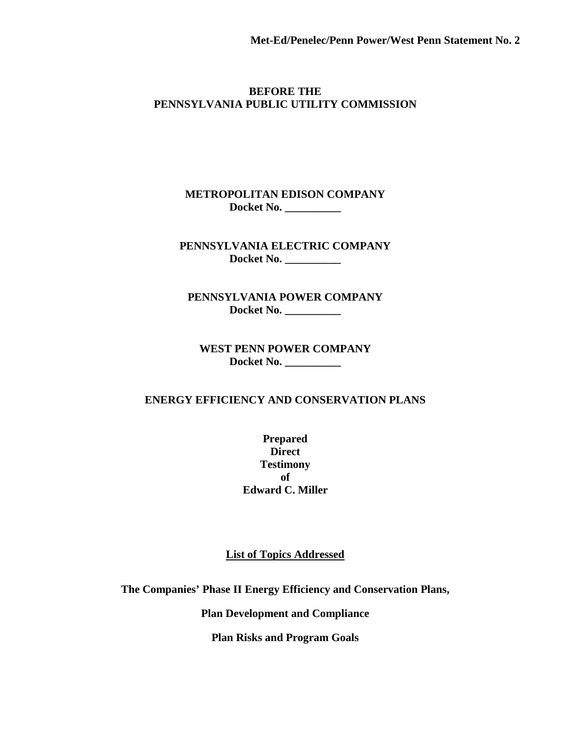#### **BEFORE THE PENNSYLVANIA PUBLIC UTILITY COMMISSION**

#### **METROPOLITAN EDISON COMPANY Docket No. \_\_\_\_\_\_\_\_\_\_**

#### **PENNSYLVANIA ELECTRIC COMPANY Docket No. \_\_\_\_\_\_\_\_\_\_**

**PENNSYLVANIA POWER COMPANY Docket No. \_\_\_\_\_\_\_\_\_\_**

**WEST PENN POWER COMPANY Docket No. \_\_\_\_\_\_\_\_\_\_**

#### **ENERGY EFFICIENCY AND CONSERVATION PLANS**

**Prepared Direct Testimony of Edward C. Miller**

**List of Topics Addressed**

**The Companies' Phase II Energy Efficiency and Conservation Plans,**

**Plan Development and Compliance**

**Plan Risks and Program Goals**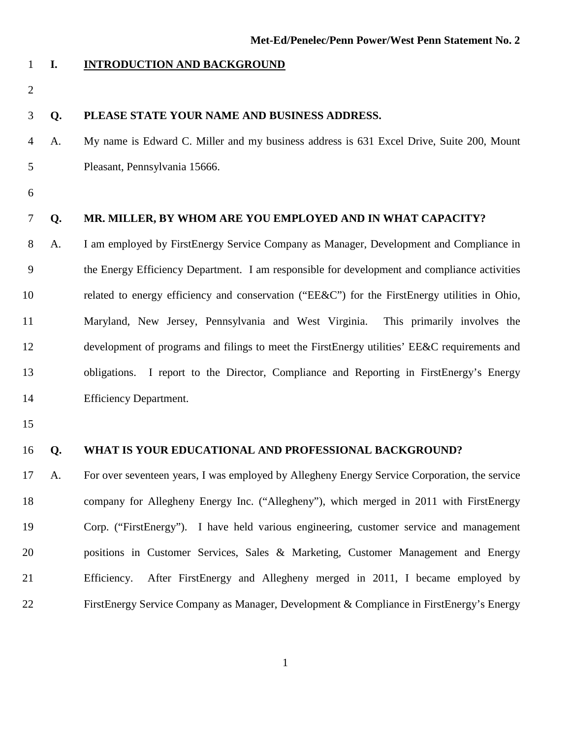#### **I. INTRODUCTION AND BACKGROUND**

#### **Q. PLEASE STATE YOUR NAME AND BUSINESS ADDRESS.**

- A. My name is Edward C. Miller and my business address is 631 Excel Drive, Suite 200, Mount Pleasant, Pennsylvania 15666.
- 

#### **Q. MR. MILLER, BY WHOM ARE YOU EMPLOYED AND IN WHAT CAPACITY?**

 A. I am employed by FirstEnergy Service Company as Manager, Development and Compliance in the Energy Efficiency Department. I am responsible for development and compliance activities 10 related to energy efficiency and conservation ("EE&C") for the FirstEnergy utilities in Ohio, Maryland, New Jersey, Pennsylvania and West Virginia. This primarily involves the development of programs and filings to meet the FirstEnergy utilities' EE&C requirements and obligations. I report to the Director, Compliance and Reporting in FirstEnergy's Energy Efficiency Department.

#### **Q. WHAT IS YOUR EDUCATIONAL AND PROFESSIONAL BACKGROUND?**

 A. For over seventeen years, I was employed by Allegheny Energy Service Corporation, the service company for Allegheny Energy Inc. ("Allegheny"), which merged in 2011 with FirstEnergy Corp. ("FirstEnergy"). I have held various engineering, customer service and management positions in Customer Services, Sales & Marketing, Customer Management and Energy Efficiency. After FirstEnergy and Allegheny merged in 2011, I became employed by FirstEnergy Service Company as Manager, Development & Compliance in FirstEnergy's Energy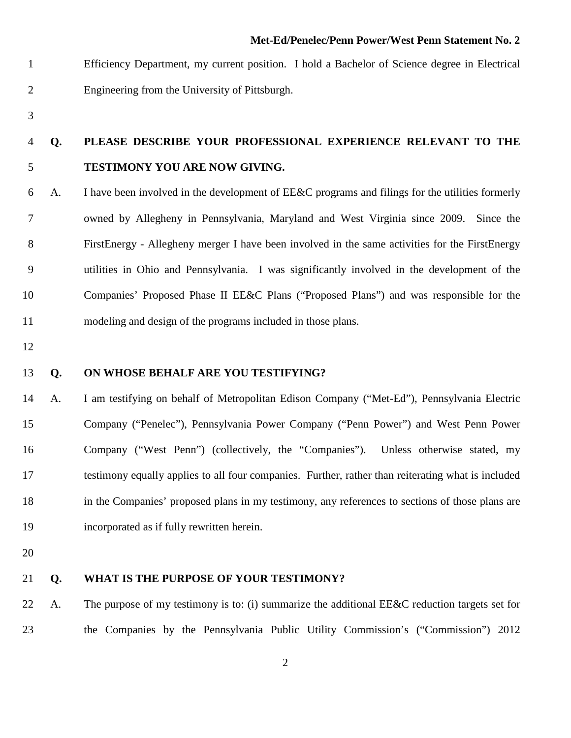Efficiency Department, my current position. I hold a Bachelor of Science degree in Electrical Engineering from the University of Pittsburgh.

### **Q. PLEASE DESCRIBE YOUR PROFESSIONAL EXPERIENCE RELEVANT TO THE TESTIMONY YOU ARE NOW GIVING.**

- A. I have been involved in the development of EE&C programs and filings for the utilities formerly owned by Allegheny in Pennsylvania, Maryland and West Virginia since 2009. Since the FirstEnergy - Allegheny merger I have been involved in the same activities for the FirstEnergy utilities in Ohio and Pennsylvania. I was significantly involved in the development of the Companies' Proposed Phase II EE&C Plans ("Proposed Plans") and was responsible for the modeling and design of the programs included in those plans.
- 

#### **Q. ON WHOSE BEHALF ARE YOU TESTIFYING?**

 A. I am testifying on behalf of Metropolitan Edison Company ("Met-Ed"), Pennsylvania Electric Company ("Penelec"), Pennsylvania Power Company ("Penn Power") and West Penn Power Company ("West Penn") (collectively, the "Companies"). Unless otherwise stated, my testimony equally applies to all four companies. Further, rather than reiterating what is included in the Companies' proposed plans in my testimony, any references to sections of those plans are incorporated as if fully rewritten herein.

#### **Q. WHAT IS THE PURPOSE OF YOUR TESTIMONY?**

 A. The purpose of my testimony is to: (i) summarize the additional EE&C reduction targets set for the Companies by the Pennsylvania Public Utility Commission's ("Commission") 2012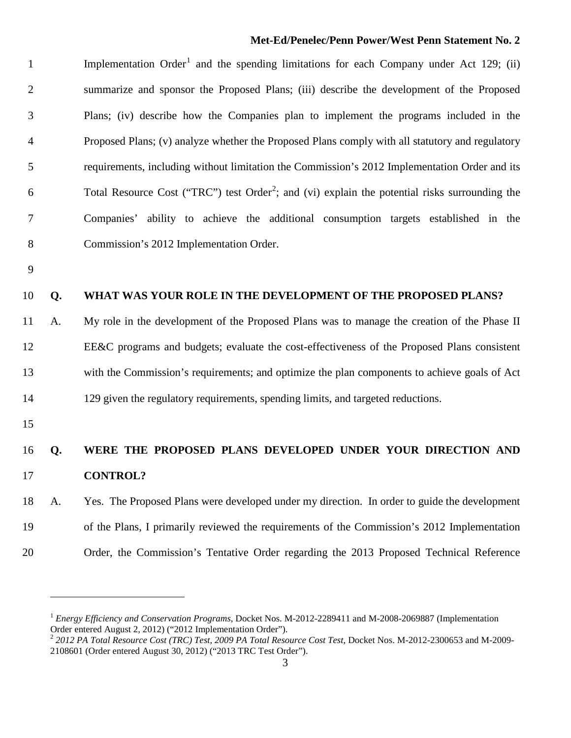Implementation  $Order<sup>1</sup>$  $Order<sup>1</sup>$  $Order<sup>1</sup>$  and the spending limitations for each Company under Act 129; (ii) summarize and sponsor the Proposed Plans; (iii) describe the development of the Proposed Plans; (iv) describe how the Companies plan to implement the programs included in the Proposed Plans; (v) analyze whether the Proposed Plans comply with all statutory and regulatory requirements, including without limitation the Commission's 2012 Implementation Order and its 6 Total Resource Cost ("TRC") test Order<sup>[2](#page-3-1)</sup>; and (vi) explain the potential risks surrounding the Companies' ability to achieve the additional consumption targets established in the Commission's 2012 Implementation Order.

#### **Q. WHAT WAS YOUR ROLE IN THE DEVELOPMENT OF THE PROPOSED PLANS?**

 A. My role in the development of the Proposed Plans was to manage the creation of the Phase II EE&C programs and budgets; evaluate the cost-effectiveness of the Proposed Plans consistent with the Commission's requirements; and optimize the plan components to achieve goals of Act 129 given the regulatory requirements, spending limits, and targeted reductions.

 $\overline{a}$ 

### **Q. WERE THE PROPOSED PLANS DEVELOPED UNDER YOUR DIRECTION AND CONTROL?**

 A. Yes. The Proposed Plans were developed under my direction. In order to guide the development of the Plans, I primarily reviewed the requirements of the Commission's 2012 Implementation Order, the Commission's Tentative Order regarding the 2013 Proposed Technical Reference

<span id="page-3-0"></span> *Energy Efficiency and Conservation Programs*, Docket Nos. M-2012-2289411 and M-2008-2069887 (Implementation Order entered August 2, 2012) ("2012 Implementation Order").

<span id="page-3-1"></span> *2012 PA Total Resource Cost (TRC) Test, 2009 PA Total Resource Cost Test*, Docket Nos. M-2012-2300653 and M-2009- 2108601 (Order entered August 30, 2012) ("2013 TRC Test Order").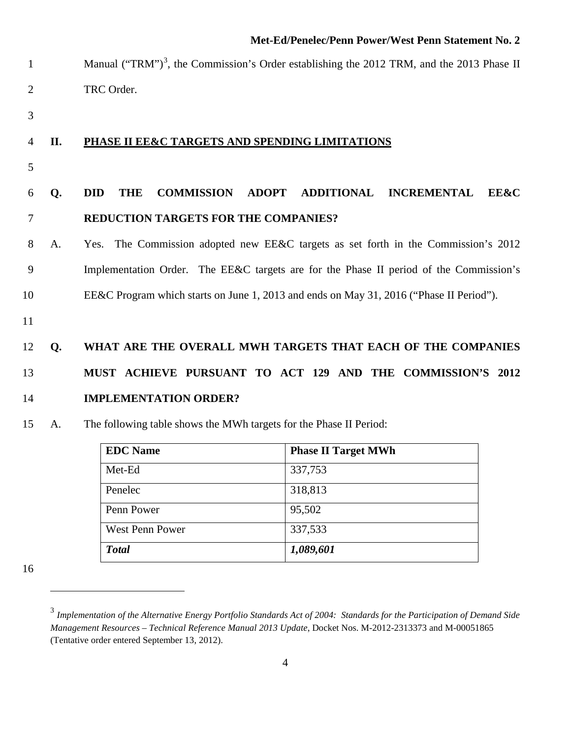- 1 Manual ("TRM")<sup>[3](#page-4-0)</sup>, the Commission's Order establishing the 2012 TRM, and the 2013 Phase II TRC Order.
- 

#### **II. PHASE II EE&C TARGETS AND SPENDING LIMITATIONS**

### **Q. DID THE COMMISSION ADOPT ADDITIONAL INCREMENTAL EE&C REDUCTION TARGETS FOR THE COMPANIES?**

- A. Yes. The Commission adopted new EE&C targets as set forth in the Commission's 2012 Implementation Order. The EE&C targets are for the Phase II period of the Commission's EE&C Program which starts on June 1, 2013 and ends on May 31, 2016 ("Phase II Period").
- 

### **Q. WHAT ARE THE OVERALL MWH TARGETS THAT EACH OF THE COMPANIES MUST ACHIEVE PURSUANT TO ACT 129 AND THE COMMISSION'S 2012 IMPLEMENTATION ORDER?**

#### A. The following table shows the MWh targets for the Phase II Period:

| <b>EDC</b> Name        | <b>Phase II Target MWh</b> |
|------------------------|----------------------------|
| Met-Ed                 | 337,753                    |
| Penelec                | 318,813                    |
| Penn Power             | 95,502                     |
| <b>West Penn Power</b> | 337,533                    |
| <b>Total</b>           | 1,089,601                  |

<span id="page-4-0"></span>

 $\overline{a}$ 

 *Implementation of the Alternative Energy Portfolio Standards Act of 2004: Standards for the Participation of Demand Side Management Resources – Technical Reference Manual 2013 Update*, Docket Nos. M-2012-2313373 and M-00051865 (Tentative order entered September 13, 2012).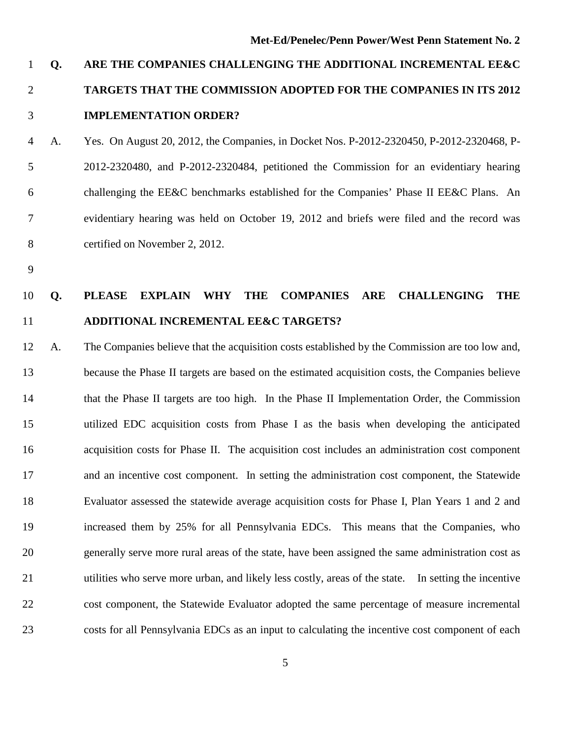### **Q. ARE THE COMPANIES CHALLENGING THE ADDITIONAL INCREMENTAL EE&C TARGETS THAT THE COMMISSION ADOPTED FOR THE COMPANIES IN ITS 2012 IMPLEMENTATION ORDER?**

 A. Yes. On August 20, 2012, the Companies, in Docket Nos. P-2012-2320450, P-2012-2320468, P- 2012-2320480, and P-2012-2320484, petitioned the Commission for an evidentiary hearing challenging the EE&C benchmarks established for the Companies' Phase II EE&C Plans. An evidentiary hearing was held on October 19, 2012 and briefs were filed and the record was certified on November 2, 2012.

### **Q. PLEASE EXPLAIN WHY THE COMPANIES ARE CHALLENGING THE ADDITIONAL INCREMENTAL EE&C TARGETS?**

 A. The Companies believe that the acquisition costs established by the Commission are too low and, because the Phase II targets are based on the estimated acquisition costs, the Companies believe that the Phase II targets are too high. In the Phase II Implementation Order, the Commission utilized EDC acquisition costs from Phase I as the basis when developing the anticipated acquisition costs for Phase II. The acquisition cost includes an administration cost component and an incentive cost component. In setting the administration cost component, the Statewide Evaluator assessed the statewide average acquisition costs for Phase I, Plan Years 1 and 2 and increased them by 25% for all Pennsylvania EDCs. This means that the Companies, who generally serve more rural areas of the state, have been assigned the same administration cost as utilities who serve more urban, and likely less costly, areas of the state. In setting the incentive cost component, the Statewide Evaluator adopted the same percentage of measure incremental costs for all Pennsylvania EDCs as an input to calculating the incentive cost component of each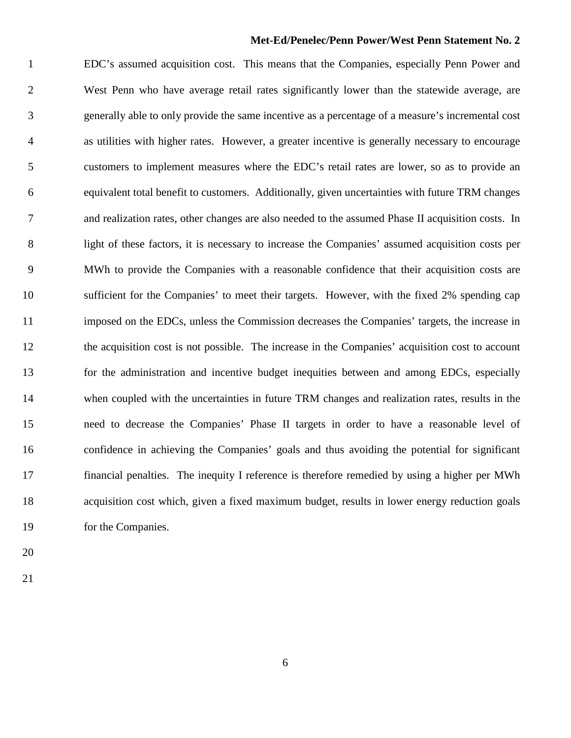EDC's assumed acquisition cost. This means that the Companies, especially Penn Power and West Penn who have average retail rates significantly lower than the statewide average, are generally able to only provide the same incentive as a percentage of a measure's incremental cost as utilities with higher rates. However, a greater incentive is generally necessary to encourage customers to implement measures where the EDC's retail rates are lower, so as to provide an equivalent total benefit to customers. Additionally, given uncertainties with future TRM changes and realization rates, other changes are also needed to the assumed Phase II acquisition costs. In light of these factors, it is necessary to increase the Companies' assumed acquisition costs per MWh to provide the Companies with a reasonable confidence that their acquisition costs are sufficient for the Companies' to meet their targets. However, with the fixed 2% spending cap imposed on the EDCs, unless the Commission decreases the Companies' targets, the increase in the acquisition cost is not possible. The increase in the Companies' acquisition cost to account for the administration and incentive budget inequities between and among EDCs, especially when coupled with the uncertainties in future TRM changes and realization rates, results in the need to decrease the Companies' Phase II targets in order to have a reasonable level of confidence in achieving the Companies' goals and thus avoiding the potential for significant financial penalties. The inequity I reference is therefore remedied by using a higher per MWh acquisition cost which, given a fixed maximum budget, results in lower energy reduction goals for the Companies.

- 
-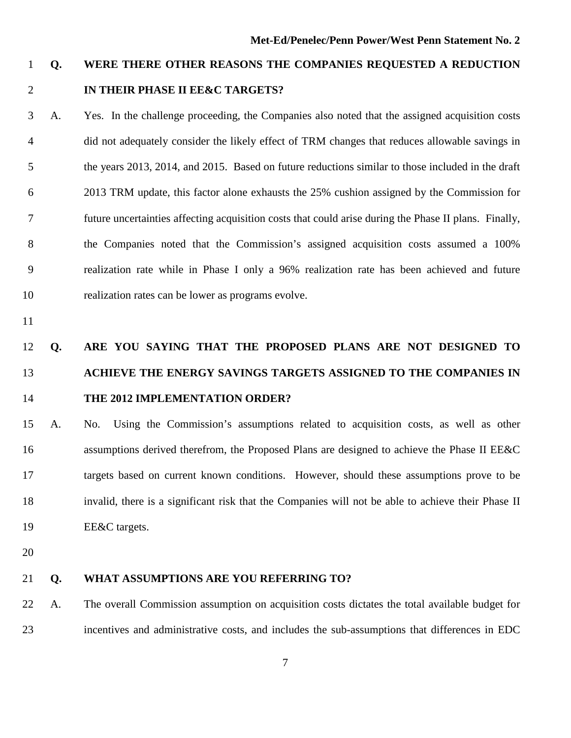### **Q. WERE THERE OTHER REASONS THE COMPANIES REQUESTED A REDUCTION IN THEIR PHASE II EE&C TARGETS?**

- A. Yes. In the challenge proceeding, the Companies also noted that the assigned acquisition costs did not adequately consider the likely effect of TRM changes that reduces allowable savings in the years 2013, 2014, and 2015. Based on future reductions similar to those included in the draft 2013 TRM update, this factor alone exhausts the 25% cushion assigned by the Commission for future uncertainties affecting acquisition costs that could arise during the Phase II plans. Finally, the Companies noted that the Commission's assigned acquisition costs assumed a 100% realization rate while in Phase I only a 96% realization rate has been achieved and future realization rates can be lower as programs evolve.
- 

### **Q. ARE YOU SAYING THAT THE PROPOSED PLANS ARE NOT DESIGNED TO ACHIEVE THE ENERGY SAVINGS TARGETS ASSIGNED TO THE COMPANIES IN THE 2012 IMPLEMENTATION ORDER?**

- A. No. Using the Commission's assumptions related to acquisition costs, as well as other assumptions derived therefrom, the Proposed Plans are designed to achieve the Phase II EE&C targets based on current known conditions. However, should these assumptions prove to be invalid, there is a significant risk that the Companies will not be able to achieve their Phase II EE&C targets.
- 

#### **Q. WHAT ASSUMPTIONS ARE YOU REFERRING TO?**

 A. The overall Commission assumption on acquisition costs dictates the total available budget for incentives and administrative costs, and includes the sub-assumptions that differences in EDC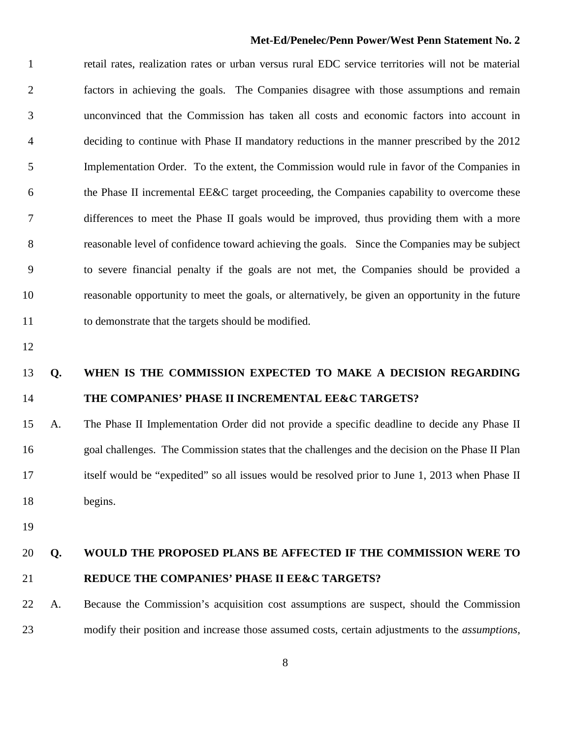retail rates, realization rates or urban versus rural EDC service territories will not be material factors in achieving the goals. The Companies disagree with those assumptions and remain unconvinced that the Commission has taken all costs and economic factors into account in deciding to continue with Phase II mandatory reductions in the manner prescribed by the 2012 Implementation Order. To the extent, the Commission would rule in favor of the Companies in the Phase II incremental EE&C target proceeding, the Companies capability to overcome these differences to meet the Phase II goals would be improved, thus providing them with a more reasonable level of confidence toward achieving the goals. Since the Companies may be subject to severe financial penalty if the goals are not met, the Companies should be provided a reasonable opportunity to meet the goals, or alternatively, be given an opportunity in the future to demonstrate that the targets should be modified.

### **Q. WHEN IS THE COMMISSION EXPECTED TO MAKE A DECISION REGARDING THE COMPANIES' PHASE II INCREMENTAL EE&C TARGETS?**

 A. The Phase II Implementation Order did not provide a specific deadline to decide any Phase II goal challenges. The Commission states that the challenges and the decision on the Phase II Plan itself would be "expedited" so all issues would be resolved prior to June 1, 2013 when Phase II begins.

### **Q. WOULD THE PROPOSED PLANS BE AFFECTED IF THE COMMISSION WERE TO REDUCE THE COMPANIES' PHASE II EE&C TARGETS?**

 A. Because the Commission's acquisition cost assumptions are suspect, should the Commission modify their position and increase those assumed costs, certain adjustments to the *assumptions*,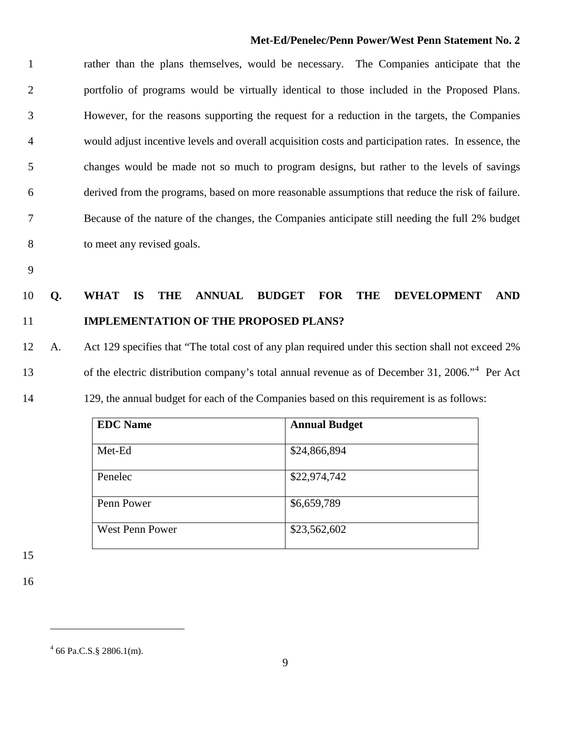rather than the plans themselves, would be necessary. The Companies anticipate that the portfolio of programs would be virtually identical to those included in the Proposed Plans. However, for the reasons supporting the request for a reduction in the targets, the Companies would adjust incentive levels and overall acquisition costs and participation rates. In essence, the changes would be made not so much to program designs, but rather to the levels of savings derived from the programs, based on more reasonable assumptions that reduce the risk of failure. Because of the nature of the changes, the Companies anticipate still needing the full 2% budget to meet any revised goals.

### **Q. WHAT IS THE ANNUAL BUDGET FOR THE DEVELOPMENT AND IMPLEMENTATION OF THE PROPOSED PLANS?**

## A. Act 129 specifies that "The total cost of any plan required under this section shall not exceed 2% 13 of the electric distribution company's total annual revenue as of December 31, 2006.<sup>[4](#page-9-0)</sup> Per Act

129, the annual budget for each of the Companies based on this requirement is as follows:

| <b>EDC</b> Name        | <b>Annual Budget</b> |
|------------------------|----------------------|
| Met-Ed                 | \$24,866,894         |
| Penelec                | \$22,974,742         |
| Penn Power             | \$6,659,789          |
| <b>West Penn Power</b> | \$23,562,602         |

 $\overline{a}$ 

<span id="page-9-0"></span> $4\,66\,\text{Pa.C.S.}$ § 2806.1(m).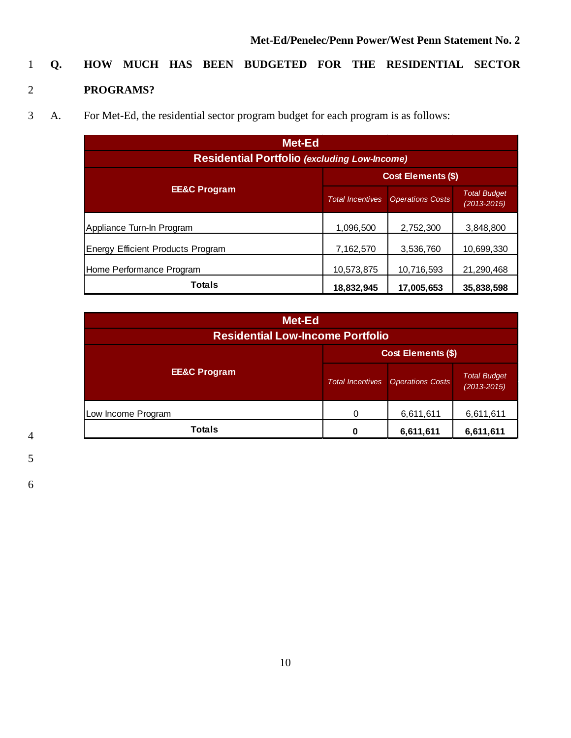# 1 **Q. HOW MUCH HAS BEEN BUDGETED FOR THE RESIDENTIAL SECTOR**

### 2 **PROGRAMS?**

3 A. For Met-Ed, the residential sector program budget for each program is as follows:

| Met-Ed                                              |                         |                         |                                        |
|-----------------------------------------------------|-------------------------|-------------------------|----------------------------------------|
| <b>Residential Portfolio (excluding Low-Income)</b> |                         |                         |                                        |
| <b>Cost Elements (\$)</b>                           |                         |                         |                                        |
| <b>EE&amp;C Program</b>                             | <b>Total Incentives</b> | <b>Operations Costs</b> | <b>Total Budget</b><br>$(2013 - 2015)$ |
| Appliance Turn-In Program                           | 1,096,500               | 2,752,300               | 3,848,800                              |
| <b>Energy Efficient Products Program</b>            | 7,162,570               | 3,536,760               | 10,699,330                             |
| Home Performance Program                            | 10,573,875              | 10,716,593              | 21,290,468                             |
| <b>Totals</b>                                       | 18,832,945              | 17,005,653              | 35,838,598                             |

| Met-Ed<br><b>Residential Low-Income Portfolio</b> |                         |                         |                                        |
|---------------------------------------------------|-------------------------|-------------------------|----------------------------------------|
| <b>Cost Elements (\$)</b>                         |                         |                         |                                        |
| <b>EE&amp;C Program</b>                           | <b>Total Incentives</b> | <b>Operations Costs</b> | <b>Total Budget</b><br>$(2013 - 2015)$ |
| Low Income Program                                |                         | 6,611,611               | 6,611,611                              |
| <b>Totals</b>                                     | O                       | 6,611,611               | 6,611,611                              |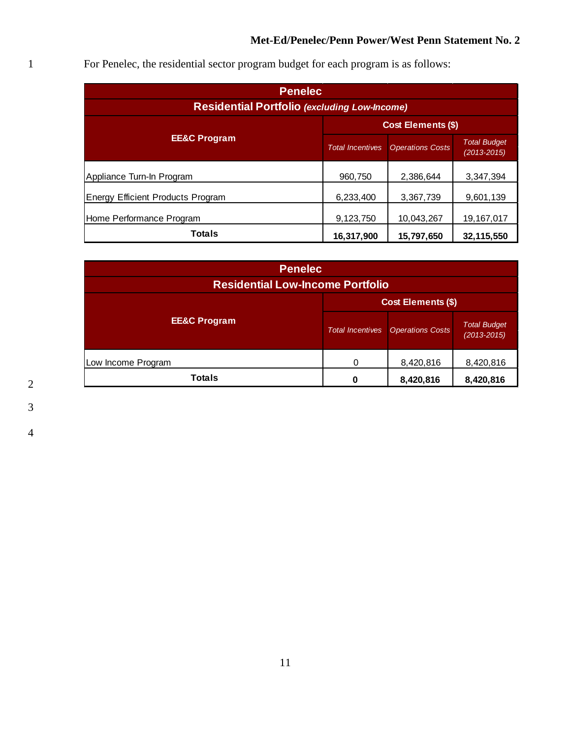| <b>Penelec</b>                                      |                           |                         |                                        |
|-----------------------------------------------------|---------------------------|-------------------------|----------------------------------------|
| <b>Residential Portfolio (excluding Low-Income)</b> |                           |                         |                                        |
|                                                     | <b>Cost Elements (\$)</b> |                         |                                        |
| <b>EE&amp;C Program</b>                             | <b>Total Incentives</b>   | <b>Operations Costs</b> | <b>Total Budget</b><br>$(2013 - 2015)$ |
| Appliance Turn-In Program                           | 960,750                   | 2,386,644               | 3,347,394                              |
| <b>Energy Efficient Products Program</b>            | 6,233,400                 | 3,367,739               | 9,601,139                              |
| Home Performance Program                            | 9,123,750                 | 10,043,267              | 19,167,017                             |
| <b>Totals</b>                                       | 16,317,900                | 15,797,650              | 32,115,550                             |

1 For Penelec, the residential sector program budget for each program is as follows:

| <b>Penelec</b>                          |                         |                         |                                        |
|-----------------------------------------|-------------------------|-------------------------|----------------------------------------|
| <b>Residential Low-Income Portfolio</b> |                         |                         |                                        |
| <b>Cost Elements (\$)</b>               |                         |                         |                                        |
| <b>EE&amp;C Program</b>                 | <b>Total Incentives</b> | <b>Operations Costs</b> | <b>Total Budget</b><br>$(2013 - 2015)$ |
| Low Income Program                      | 0                       | 8,420,816               | 8,420,816                              |
| Totals                                  | 0                       | 8,420,816               | 8,420,816                              |

2 3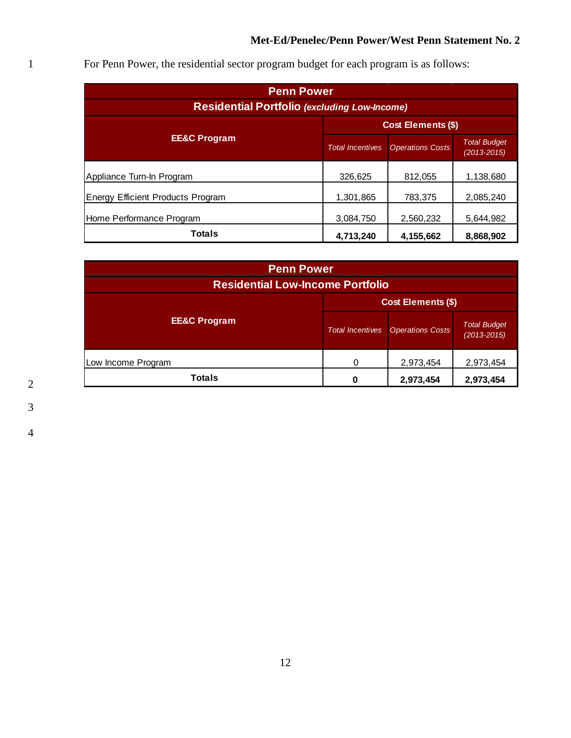| <b>Penn Power</b>                                   |                           |                         |                                        |
|-----------------------------------------------------|---------------------------|-------------------------|----------------------------------------|
| <b>Residential Portfolio (excluding Low-Income)</b> |                           |                         |                                        |
|                                                     | <b>Cost Elements (\$)</b> |                         |                                        |
| <b>EE&amp;C Program</b>                             | <b>Total Incentives</b>   | <b>Operations Costs</b> | <b>Total Budget</b><br>$(2013 - 2015)$ |
| Appliance Turn-In Program                           | 326,625                   | 812,055                 | 1,138,680                              |
| <b>Energy Efficient Products Program</b>            | 1,301,865                 | 783,375                 | 2,085,240                              |
| Home Performance Program                            | 3,084,750                 | 2,560,232               | 5,644,982                              |
| <b>Totals</b>                                       | 4,713,240                 | 4,155,662               | 8,868,902                              |

1 For Penn Power, the residential sector program budget for each program is as follows:

| <b>Penn Power</b>                       |                           |                         |                                        |
|-----------------------------------------|---------------------------|-------------------------|----------------------------------------|
| <b>Residential Low-Income Portfolio</b> |                           |                         |                                        |
|                                         | <b>Cost Elements (\$)</b> |                         |                                        |
| <b>EE&amp;C Program</b>                 | <b>Total Incentives</b>   | <b>Operations Costs</b> | <b>Total Budget</b><br>$(2013 - 2015)$ |
| Low Income Program                      | 0                         | 2,973,454               | 2,973,454                              |
| Totals                                  | 0                         | 2,973,454               | 2,973,454                              |

2 3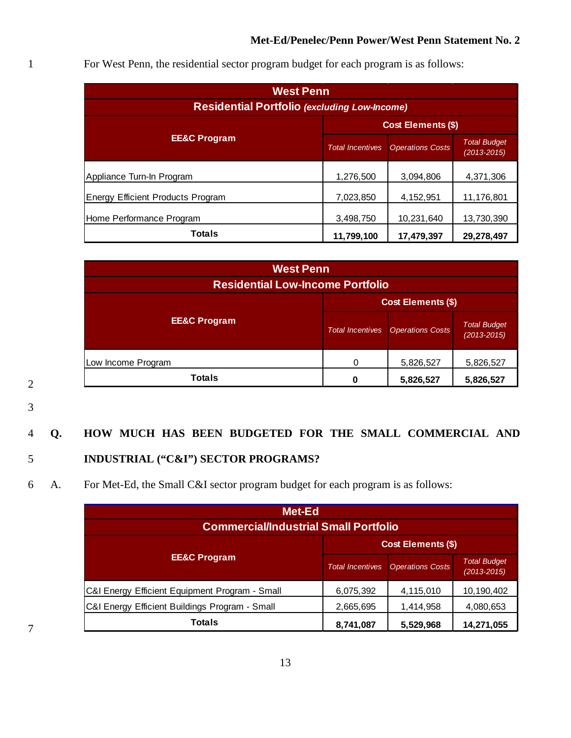| <b>West Penn</b>                                    |                           |                         |                                        |
|-----------------------------------------------------|---------------------------|-------------------------|----------------------------------------|
| <b>Residential Portfolio (excluding Low-Income)</b> |                           |                         |                                        |
|                                                     | <b>Cost Elements (\$)</b> |                         |                                        |
| <b>EE&amp;C Program</b>                             | <b>Total Incentives</b>   | <b>Operations Costs</b> | <b>Total Budget</b><br>$(2013 - 2015)$ |
| Appliance Turn-In Program                           | 1,276,500                 | 3,094,806               | 4,371,306                              |
| <b>Energy Efficient Products Program</b>            | 7,023,850                 | 4, 152, 951             | 11,176,801                             |
| Home Performance Program                            | 3,498,750                 | 10,231,640              | 13,730,390                             |
| <b>Totals</b>                                       | 11,799,100                | 17,479,397              | 29,278,497                             |

1 For West Penn, the residential sector program budget for each program is as follows:

| <b>West Penn</b>                        |                           |                         |                                        |
|-----------------------------------------|---------------------------|-------------------------|----------------------------------------|
| <b>Residential Low-Income Portfolio</b> |                           |                         |                                        |
|                                         | <b>Cost Elements (\$)</b> |                         |                                        |
| <b>EE&amp;C Program</b>                 | <b>Total Incentives</b>   | <b>Operations Costs</b> | <b>Total Budget</b><br>$(2013 - 2015)$ |
| Low Income Program                      | ∩                         | 5,826,527               | 5,826,527                              |
| <b>Totals</b>                           | n                         | 5,826,527               | 5,826,527                              |

2

3

#### 4 **Q. HOW MUCH HAS BEEN BUDGETED FOR THE SMALL COMMERCIAL AND**

#### 5 **INDUSTRIAL ("C&I") SECTOR PROGRAMS?**

#### 6 A. For Met-Ed, the Small C&I sector program budget for each program is as follows:

| Met-Ed<br><b>Commercial/Industrial Small Portfolio</b> |                         |                         |                                    |
|--------------------------------------------------------|-------------------------|-------------------------|------------------------------------|
| <b>Cost Elements (\$)</b>                              |                         |                         |                                    |
| <b>EE&amp;C Program</b>                                | <b>Total Incentives</b> | <b>Operations Costs</b> | <b>Total Budget</b><br>(2013-2015) |
| C&I Energy Efficient Equipment Program - Small         | 6,075,392               | 4,115,010               | 10,190,402                         |
| C&I Energy Efficient Buildings Program - Small         | 2,665,695               | 1,414,958               | 4,080,653                          |
| <b>Totals</b>                                          | 8,741,087               | 5,529,968               | 14,271,055                         |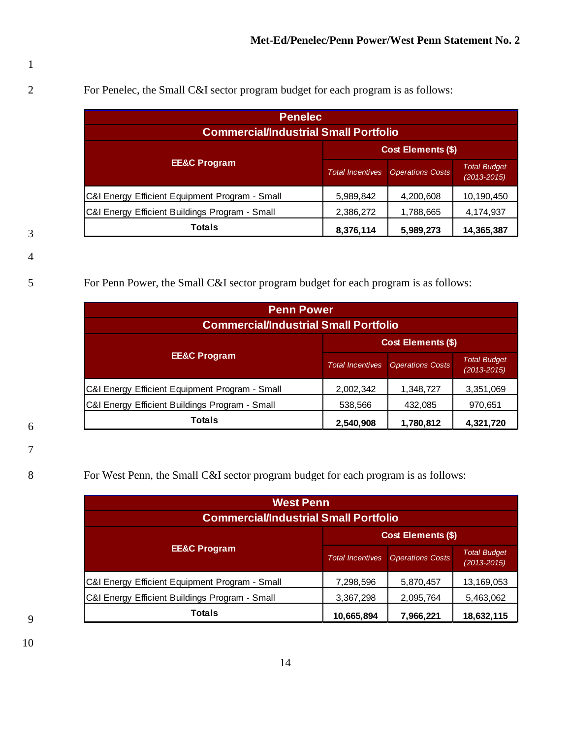3

4

2 For Penelec, the Small C&I sector program budget for each program is as follows:

| <b>Penelec</b><br><b>Commercial/Industrial Small Portfolio</b> |                                      |                         |                                        |  |  |
|----------------------------------------------------------------|--------------------------------------|-------------------------|----------------------------------------|--|--|
| <b>Cost Elements (\$)</b>                                      |                                      |                         |                                        |  |  |
| <b>EE&amp;C Program</b>                                        | <b>Total Incentives</b>              | <b>Operations Costs</b> | <b>Total Budget</b><br>$(2013 - 2015)$ |  |  |
| C&I Energy Efficient Equipment Program - Small                 | 5,989,842                            | 4,200,608               | 10,190,450                             |  |  |
| C&I Energy Efficient Buildings Program - Small                 | 2,386,272                            | 1,788,665               | 4,174,937                              |  |  |
| <b>Totals</b>                                                  | 8,376,114<br>14,365,387<br>5,989,273 |                         |                                        |  |  |

5 For Penn Power, the Small C&I sector program budget for each program is as follows:

| <b>Penn Power</b><br><b>Commercial/Industrial Small Portfolio</b> |                         |                           |                                    |
|-------------------------------------------------------------------|-------------------------|---------------------------|------------------------------------|
|                                                                   |                         | <b>Cost Elements (\$)</b> |                                    |
| <b>EE&amp;C Program</b>                                           | <b>Total Incentives</b> | <b>Operations Costs</b>   | <b>Total Budget</b><br>(2013-2015) |
| C&I Energy Efficient Equipment Program - Small                    | 2,002,342               | 1,348,727                 | 3,351,069                          |
| C&I Energy Efficient Buildings Program - Small                    | 538,566                 | 432,085                   | 970,651                            |
| <b>Totals</b>                                                     | 2,540,908               | 1,780,812                 | 4,321,720                          |

6 7

8 For West Penn, the Small C&I sector program budget for each program is as follows:

| <b>West Penn</b>                               |                         |                           |                                    |
|------------------------------------------------|-------------------------|---------------------------|------------------------------------|
| <b>Commercial/Industrial Small Portfolio</b>   |                         |                           |                                    |
|                                                |                         | <b>Cost Elements (\$)</b> |                                    |
| <b>EE&amp;C Program</b>                        | <b>Total Incentives</b> | <b>Operations Costs</b>   | <b>Total Budget</b><br>(2013-2015) |
| C&I Energy Efficient Equipment Program - Small | 7,298,596               | 5,870,457                 | 13,169,053                         |
| C&I Energy Efficient Buildings Program - Small | 3,367,298               | 2,095,764                 | 5,463,062                          |
| <b>Totals</b>                                  | 10,665,894              | 7,966,221                 | 18,632,115                         |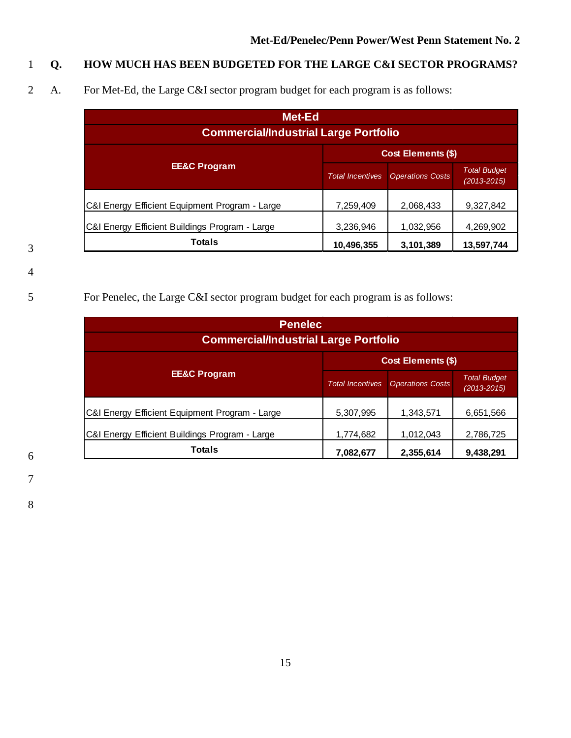### 1 **Q. HOW MUCH HAS BEEN BUDGETED FOR THE LARGE C&I SECTOR PROGRAMS?**

2 A. For Met-Ed, the Large C&I sector program budget for each program is as follows:

| <b>Met-Ed</b><br><b>Commercial/Industrial Large Portfolio</b> |                         |                           |                                        |
|---------------------------------------------------------------|-------------------------|---------------------------|----------------------------------------|
|                                                               |                         | <b>Cost Elements (\$)</b> |                                        |
| <b>EE&amp;C Program</b>                                       | <b>Total Incentives</b> | <b>Operations Costs</b>   | <b>Total Budget</b><br>$(2013 - 2015)$ |
| C&I Energy Efficient Equipment Program - Large                | 7,259,409               | 2,068,433                 | 9,327,842                              |
| C&I Energy Efficient Buildings Program - Large                | 3,236,946               | 1,032,956                 | 4,269,902                              |
| <b>Totals</b>                                                 | 10,496,355              | 3,101,389                 | 13,597,744                             |

3

#### 4

### 5 For Penelec, the Large C&I sector program budget for each program is as follows:

| <b>Penelec</b><br><b>Commercial/Industrial Large Portfolio</b> |                         |                           |                                        |
|----------------------------------------------------------------|-------------------------|---------------------------|----------------------------------------|
|                                                                |                         | <b>Cost Elements (\$)</b> |                                        |
| <b>EE&amp;C Program</b>                                        | <b>Total Incentives</b> | <b>Operations Costs</b>   | <b>Total Budget</b><br>$(2013 - 2015)$ |
| C&I Energy Efficient Equipment Program - Large                 | 5,307,995               | 1,343,571                 | 6,651,566                              |
| C&I Energy Efficient Buildings Program - Large                 | 1,774,682               | 1,012,043                 | 2,786,725                              |
| Totals                                                         | 7,082,677               | 2,355,614                 | 9,438,291                              |

7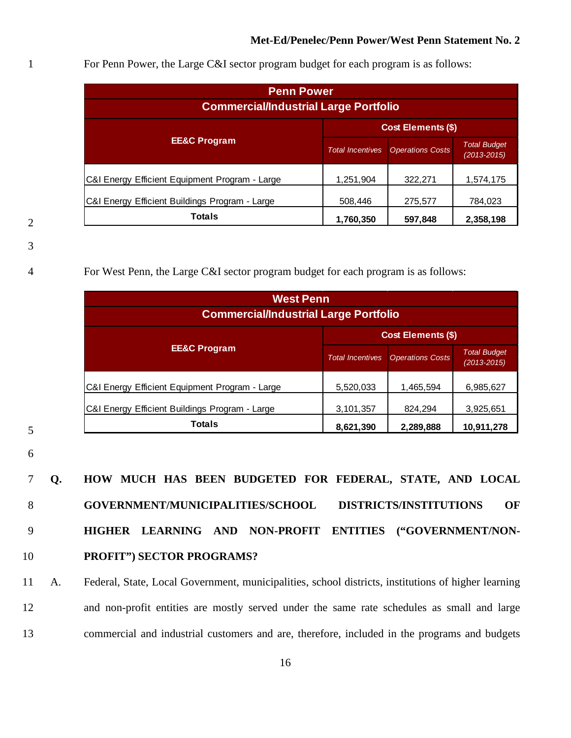| <b>Penn Power</b><br><b>Commercial/Industrial Large Portfolio</b> |                         |                           |                                        |
|-------------------------------------------------------------------|-------------------------|---------------------------|----------------------------------------|
|                                                                   |                         | <b>Cost Elements (\$)</b> |                                        |
| <b>EE&amp;C Program</b>                                           | <b>Total Incentives</b> | <b>Operations Costs</b>   | <b>Total Budget</b><br>$(2013 - 2015)$ |
| C&I Energy Efficient Equipment Program - Large                    | 1,251,904               | 322,271                   | 1,574,175                              |
| C&I Energy Efficient Buildings Program - Large                    | 508,446                 | 275,577                   | 784,023                                |
| <b>Totals</b>                                                     | 1,760,350               | 597,848                   | 2,358,198                              |

1 For Penn Power, the Large C&I sector program budget for each program is as follows:

2

3

4 For West Penn, the Large C&I sector program budget for each program is as follows:

| <b>West Penn</b><br><b>Commercial/Industrial Large Portfolio</b> |                         |                           |                                        |
|------------------------------------------------------------------|-------------------------|---------------------------|----------------------------------------|
|                                                                  |                         | <b>Cost Elements (\$)</b> |                                        |
| <b>EE&amp;C Program</b>                                          | <b>Total Incentives</b> | <b>Operations Costs</b>   | <b>Total Budget</b><br>$(2013 - 2015)$ |
| C&I Energy Efficient Equipment Program - Large                   | 5,520,033               | 1,465,594                 | 6,985,627                              |
| C&I Energy Efficient Buildings Program - Large                   | 3,101,357               | 824,294                   | 3,925,651                              |
| <b>Totals</b><br>8,621,390<br>2,289,888<br>10,911,278            |                         |                           |                                        |

- 5
- 6

 **Q. HOW MUCH HAS BEEN BUDGETED FOR FEDERAL, STATE, AND LOCAL GOVERNMENT/MUNICIPALITIES/SCHOOL DISTRICTS/INSTITUTIONS OF HIGHER LEARNING AND NON-PROFIT ENTITIES ("GOVERNMENT/NON-PROFIT") SECTOR PROGRAMS?**

11 A. Federal, State, Local Government, municipalities, school districts, institutions of higher learning 12 and non-profit entities are mostly served under the same rate schedules as small and large 13 commercial and industrial customers and are, therefore, included in the programs and budgets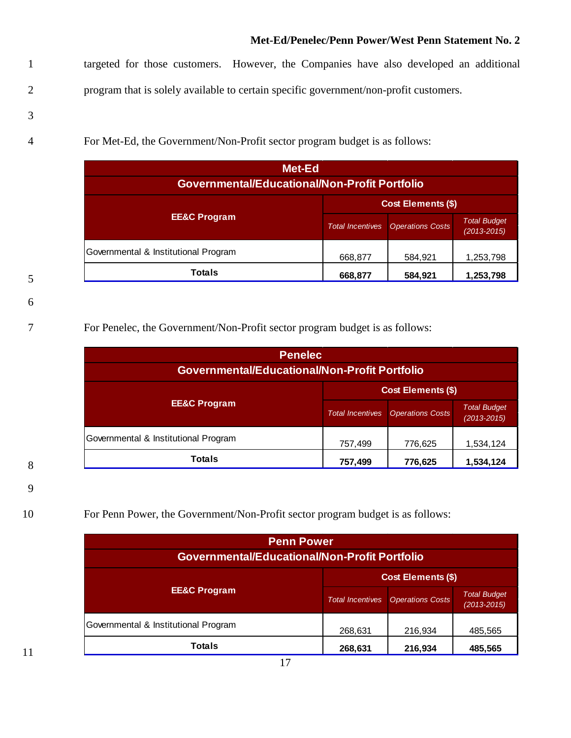1 targeted for those customers. However, the Companies have also developed an additional 2 program that is solely available to certain specific government/non-profit customers.

- 3
- 

4 For Met-Ed, the Government/Non-Profit sector program budget is as follows:

| Met-Ed<br><b>Governmental/Educational/Non-Profit Portfolio</b> |                         |                           |                                    |
|----------------------------------------------------------------|-------------------------|---------------------------|------------------------------------|
|                                                                |                         | <b>Cost Elements (\$)</b> |                                    |
| <b>EE&amp;C Program</b>                                        | <b>Total Incentives</b> | <b>Operations Costs</b>   | <b>Total Budget</b><br>(2013-2015) |
| Governmental & Institutional Program                           | 668,877                 | 584,921                   | 1,253,798                          |
| <b>Totals</b>                                                  | 668,877                 | 584,921                   | 1,253,798                          |

6

5

#### 7 For Penelec, the Government/Non-Profit sector program budget is as follows:

| <b>Penelec</b><br>Governmental/Educational/Non-Profit Portfolio |                         |                           |                                        |
|-----------------------------------------------------------------|-------------------------|---------------------------|----------------------------------------|
|                                                                 |                         | <b>Cost Elements (\$)</b> |                                        |
| <b>EE&amp;C Program</b>                                         | <b>Total Incentives</b> | <b>Operations Costs</b>   | <b>Total Budget</b><br>$(2013 - 2015)$ |
| Governmental & Institutional Program                            | 757,499                 | 776,625                   | 1,534,124                              |
| <b>Totals</b>                                                   | 757,499                 | 776,625                   | 1,534,124                              |

9

8

#### 10 For Penn Power, the Government/Non-Profit sector program budget is as follows:

| <b>Penn Power</b>                                    |                         |                           |                                        |
|------------------------------------------------------|-------------------------|---------------------------|----------------------------------------|
| <b>Governmental/Educational/Non-Profit Portfolio</b> |                         |                           |                                        |
|                                                      |                         | <b>Cost Elements (\$)</b> |                                        |
| <b>EE&amp;C Program</b>                              | <b>Total Incentives</b> | <b>Operations Costs</b>   | <b>Total Budget</b><br>$(2013 - 2015)$ |
| Governmental & Institutional Program                 | 268,631                 | 216,934                   | 485,565                                |
| <b>Totals</b>                                        | 268,631                 | 216,934                   | 485,565                                |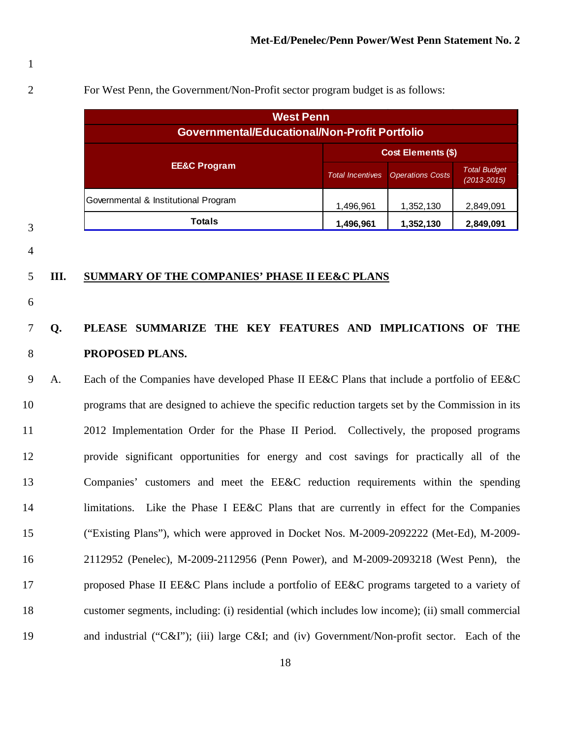For West Penn, the Government/Non-Profit sector program budget is as follows:

| <b>West Penn</b>                                     |                         |                           |                                    |
|------------------------------------------------------|-------------------------|---------------------------|------------------------------------|
| <b>Governmental/Educational/Non-Profit Portfolio</b> |                         |                           |                                    |
|                                                      |                         | <b>Cost Elements (\$)</b> |                                    |
| <b>EE&amp;C Program</b>                              | <b>Total Incentives</b> | <b>Operations Costs</b>   | <b>Total Budget</b><br>(2013-2015) |
| Governmental & Institutional Program                 | 1,496,961               | 1,352,130                 | 2,849,091                          |
| <b>Totals</b>                                        | 1,496,961               | 1,352,130                 | 2,849,091                          |

#### 

#### **III. SUMMARY OF THE COMPANIES' PHASE II EE&C PLANS**

### **Q. PLEASE SUMMARIZE THE KEY FEATURES AND IMPLICATIONS OF THE PROPOSED PLANS.**

 A.Each of the Companies have developed Phase II EE&C Plans that include a portfolio of EE&C programs that are designed to achieve the specific reduction targets set by the Commission in its 2012 Implementation Order for the Phase II Period. Collectively, the proposed programs provide significant opportunities for energy and cost savings for practically all of the Companies' customers and meet the EE&C reduction requirements within the spending 14 limitations. Like the Phase I EE&C Plans that are currently in effect for the Companies ("Existing Plans"), which were approved in Docket Nos. M-2009-2092222 (Met-Ed), M-2009- 2112952 (Penelec), M-2009-2112956 (Penn Power), and M-2009-2093218 (West Penn), the proposed Phase II EE&C Plans include a portfolio of EE&C programs targeted to a variety of customer segments, including: (i) residential (which includes low income); (ii) small commercial and industrial ("C&I"); (iii) large C&I; and (iv) Government/Non-profit sector. Each of the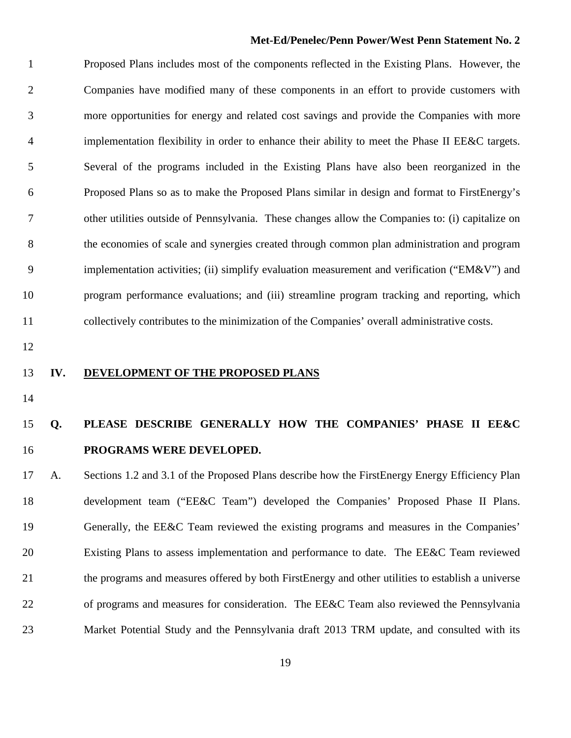Proposed Plans includes most of the components reflected in the Existing Plans. However, the Companies have modified many of these components in an effort to provide customers with more opportunities for energy and related cost savings and provide the Companies with more implementation flexibility in order to enhance their ability to meet the Phase II EE&C targets. Several of the programs included in the Existing Plans have also been reorganized in the Proposed Plans so as to make the Proposed Plans similar in design and format to FirstEnergy's other utilities outside of Pennsylvania. These changes allow the Companies to: (i) capitalize on the economies of scale and synergies created through common plan administration and program 9 implementation activities; (ii) simplify evaluation measurement and verification ("EM&V") and program performance evaluations; and (iii) streamline program tracking and reporting, which collectively contributes to the minimization of the Companies' overall administrative costs.

#### **IV. DEVELOPMENT OF THE PROPOSED PLANS**

### **Q. PLEASE DESCRIBE GENERALLY HOW THE COMPANIES' PHASE II EE&C PROGRAMS WERE DEVELOPED.**

 A. Sections 1.2 and 3.1 of the Proposed Plans describe how the FirstEnergy Energy Efficiency Plan development team ("EE&C Team") developed the Companies' Proposed Phase II Plans. Generally, the EE&C Team reviewed the existing programs and measures in the Companies' Existing Plans to assess implementation and performance to date. The EE&C Team reviewed the programs and measures offered by both FirstEnergy and other utilities to establish a universe of programs and measures for consideration. The EE&C Team also reviewed the Pennsylvania Market Potential Study and the Pennsylvania draft 2013 TRM update, and consulted with its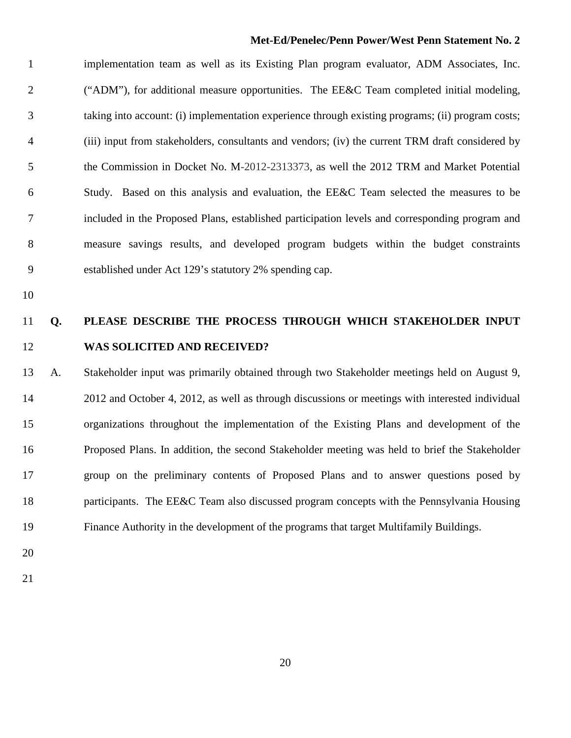implementation team as well as its Existing Plan program evaluator, ADM Associates, Inc. ("ADM"), for additional measure opportunities. The EE&C Team completed initial modeling, taking into account: (i) implementation experience through existing programs; (ii) program costs; (iii) input from stakeholders, consultants and vendors; (iv) the current TRM draft considered by the Commission in Docket No. M-2012-2313373, as well the 2012 TRM and Market Potential Study. Based on this analysis and evaluation, the EE&C Team selected the measures to be included in the Proposed Plans, established participation levels and corresponding program and measure savings results, and developed program budgets within the budget constraints established under Act 129's statutory 2% spending cap.

### **Q. PLEASE DESCRIBE THE PROCESS THROUGH WHICH STAKEHOLDER INPUT WAS SOLICITED AND RECEIVED?**

 A. Stakeholder input was primarily obtained through two Stakeholder meetings held on August 9, 2012 and October 4, 2012, as well as through discussions or meetings with interested individual organizations throughout the implementation of the Existing Plans and development of the Proposed Plans. In addition, the second Stakeholder meeting was held to brief the Stakeholder group on the preliminary contents of Proposed Plans and to answer questions posed by 18 participants. The EE&C Team also discussed program concepts with the Pennsylvania Housing Finance Authority in the development of the programs that target Multifamily Buildings.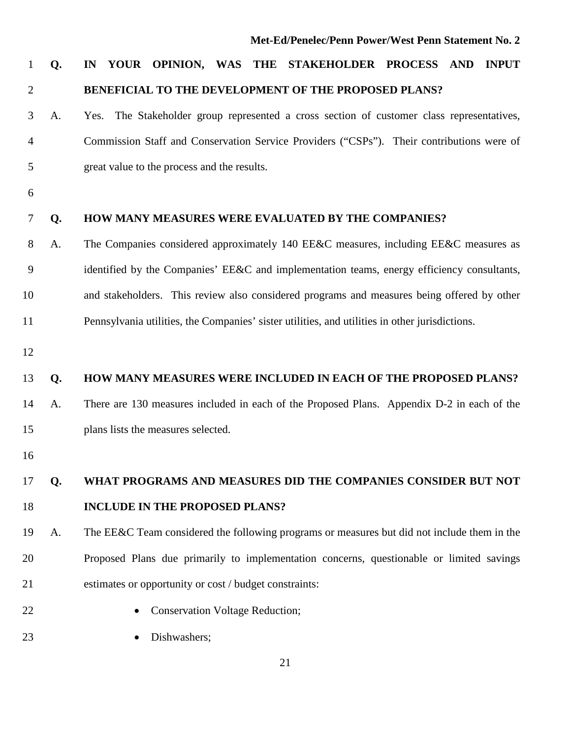### **Q. IN YOUR OPINION, WAS THE STAKEHOLDER PROCESS AND INPUT BENEFICIAL TO THE DEVELOPMENT OF THE PROPOSED PLANS?**

- A. Yes. The Stakeholder group represented a cross section of customer class representatives, Commission Staff and Conservation Service Providers ("CSPs"). Their contributions were of great value to the process and the results.
- 

#### **Q. HOW MANY MEASURES WERE EVALUATED BY THE COMPANIES?**

- A.The Companies considered approximately 140 EE&C measures, including EE&C measures as identified by the Companies' EE&C and implementation teams, energy efficiency consultants, and stakeholders. This review also considered programs and measures being offered by other Pennsylvania utilities, the Companies' sister utilities, and utilities in other jurisdictions.
- 

#### **Q. HOW MANY MEASURES WERE INCLUDED IN EACH OF THE PROPOSED PLANS?**

- A. There are 130 measures included in each of the Proposed Plans. Appendix D-2 in each of the plans lists the measures selected.
- 

### **Q. WHAT PROGRAMS AND MEASURES DID THE COMPANIES CONSIDER BUT NOT INCLUDE IN THE PROPOSED PLANS?**

 A. The EE&C Team considered the following programs or measures but did not include them in the Proposed Plans due primarily to implementation concerns, questionable or limited savings estimates or opportunity or cost / budget constraints:

- 
- 22 Conservation Voltage Reduction;
- 23 Dishwashers: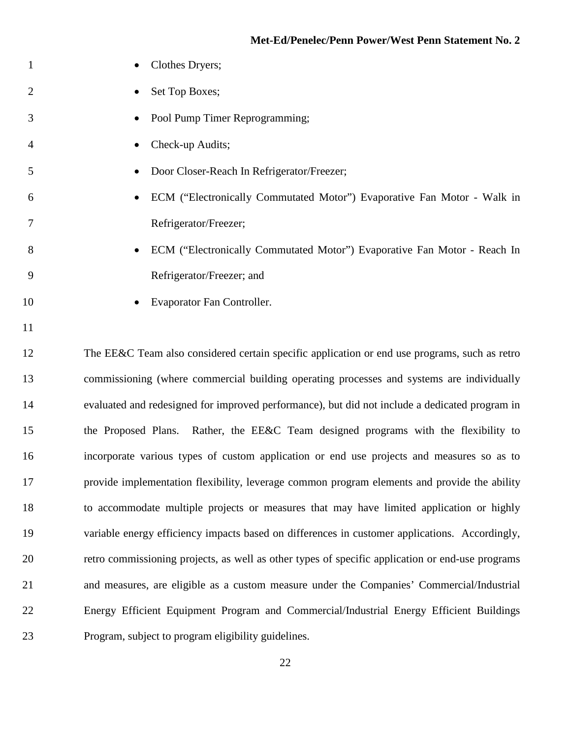| $\mathbf{1}$   | Clothes Dryers;                                                                                |
|----------------|------------------------------------------------------------------------------------------------|
| $\overline{2}$ | Set Top Boxes;                                                                                 |
| 3              | Pool Pump Timer Reprogramming;                                                                 |
| 4              | Check-up Audits;                                                                               |
| 5              | Door Closer-Reach In Refrigerator/Freezer;                                                     |
| 6              | ECM ("Electronically Commutated Motor") Evaporative Fan Motor - Walk in                        |
| 7              | Refrigerator/Freezer;                                                                          |
| 8              | ECM ("Electronically Commutated Motor") Evaporative Fan Motor - Reach In                       |
| 9              | Refrigerator/Freezer; and                                                                      |
| 10             | Evaporator Fan Controller.                                                                     |
| 11             |                                                                                                |
| 12             | The EE&C Team also considered certain specific application or end use programs, such as retro  |
| 13             | commissioning (where commercial building operating processes and systems are individually      |
| 14             | evaluated and redesigned for improved performance), but did not include a dedicated program in |
| 15             | the Proposed Plans. Rather, the EE&C Team designed programs with the flexibility to            |
| 16             | incorporate various types of custom application or end use projects and measures so as to      |
| 17             | provide implementation flexibility, leverage common program elements and provide the ability   |
| 18             | to accommodate multiple projects or measures that may have limited application or highly       |

 variable energy efficiency impacts based on differences in customer applications. Accordingly, retro commissioning projects, as well as other types of specific application or end-use programs and measures, are eligible as a custom measure under the Companies' Commercial/Industrial Energy Efficient Equipment Program and Commercial/Industrial Energy Efficient Buildings Program, subject to program eligibility guidelines.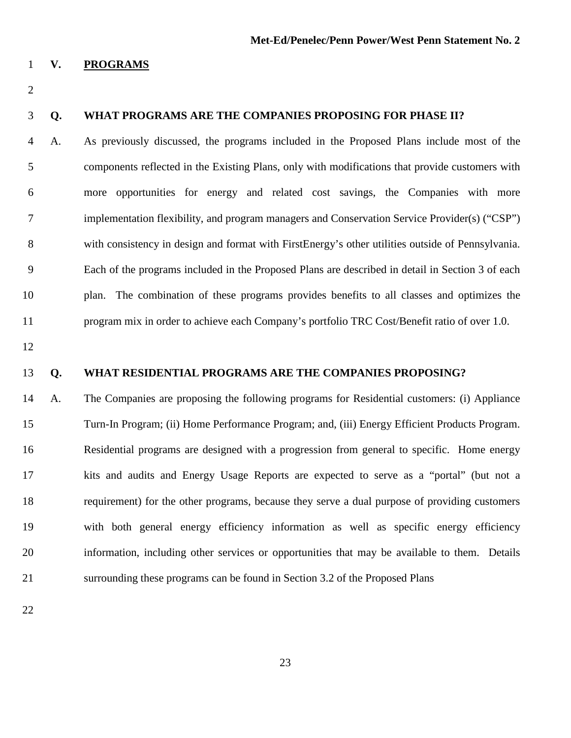#### **V. PROGRAMS**

#### **Q. WHAT PROGRAMS ARE THE COMPANIES PROPOSING FOR PHASE II?**

 A. As previously discussed, the programs included in the Proposed Plans include most of the components reflected in the Existing Plans, only with modifications that provide customers with more opportunities for energy and related cost savings, the Companies with more implementation flexibility, and program managers and Conservation Service Provider(s) ("CSP") with consistency in design and format with FirstEnergy's other utilities outside of Pennsylvania. Each of the programs included in the Proposed Plans are described in detail in Section 3 of each plan. The combination of these programs provides benefits to all classes and optimizes the program mix in order to achieve each Company's portfolio TRC Cost/Benefit ratio of over 1.0.

#### **Q. WHAT RESIDENTIAL PROGRAMS ARE THE COMPANIES PROPOSING?**

 A.The Companies are proposing the following programs for Residential customers: (i) Appliance Turn-In Program; (ii) Home Performance Program; and, (iii) Energy Efficient Products Program. Residential programs are designed with a progression from general to specific. Home energy kits and audits and Energy Usage Reports are expected to serve as a "portal" (but not a requirement) for the other programs, because they serve a dual purpose of providing customers with both general energy efficiency information as well as specific energy efficiency information, including other services or opportunities that may be available to them. Details surrounding these programs can be found in Section 3.2 of the Proposed Plans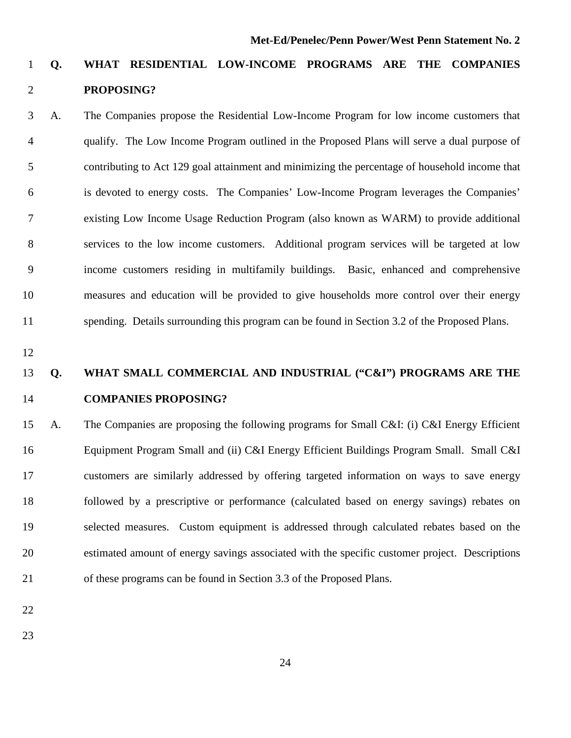### **Q. WHAT RESIDENTIAL LOW-INCOME PROGRAMS ARE THE COMPANIES PROPOSING?**

 A.The Companies propose the Residential Low-Income Program for low income customers that qualify. The Low Income Program outlined in the Proposed Plans will serve a dual purpose of contributing to Act 129 goal attainment and minimizing the percentage of household income that is devoted to energy costs. The Companies' Low-Income Program leverages the Companies' existing Low Income Usage Reduction Program (also known as WARM) to provide additional services to the low income customers. Additional program services will be targeted at low income customers residing in multifamily buildings. Basic, enhanced and comprehensive measures and education will be provided to give households more control over their energy spending. Details surrounding this program can be found in Section 3.2 of the Proposed Plans.

### **Q. WHAT SMALL COMMERCIAL AND INDUSTRIAL ("C&I") PROGRAMS ARE THE COMPANIES PROPOSING?**

 A. The Companies are proposing the following programs for Small C&I: (i) C&I Energy Efficient Equipment Program Small and (ii) C&I Energy Efficient Buildings Program Small. Small C&I customers are similarly addressed by offering targeted information on ways to save energy followed by a prescriptive or performance (calculated based on energy savings) rebates on selected measures. Custom equipment is addressed through calculated rebates based on the estimated amount of energy savings associated with the specific customer project. Descriptions of these programs can be found in Section 3.3 of the Proposed Plans.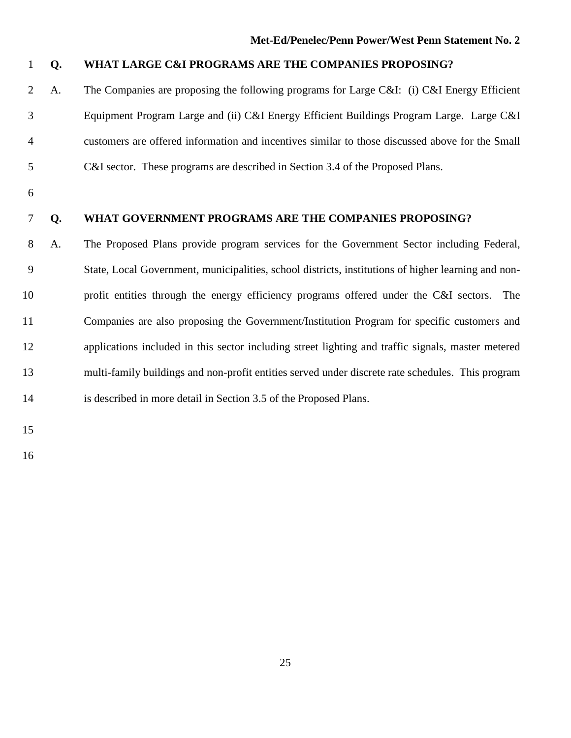- **Q. WHAT LARGE C&I PROGRAMS ARE THE COMPANIES PROPOSING?**
- A.The Companies are proposing the following programs for Large C&I: (i) C&I Energy Efficient Equipment Program Large and (ii) C&I Energy Efficient Buildings Program Large. Large C&I customers are offered information and incentives similar to those discussed above for the Small C&I sector. These programs are described in Section 3.4 of the Proposed Plans.
- 

#### **Q. WHAT GOVERNMENT PROGRAMS ARE THE COMPANIES PROPOSING?**

 A.The Proposed Plans provide program services for the Government Sector including Federal, State, Local Government, municipalities, school districts, institutions of higher learning and non- profit entities through the energy efficiency programs offered under the C&I sectors. The Companies are also proposing the Government/Institution Program for specific customers and applications included in this sector including street lighting and traffic signals, master metered multi-family buildings and non-profit entities served under discrete rate schedules. This program is described in more detail in Section 3.5 of the Proposed Plans.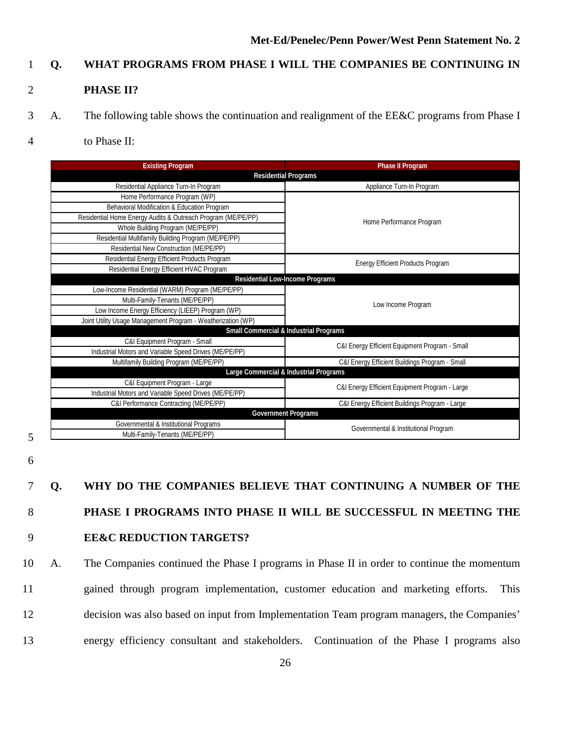### 1 **Q. WHAT PROGRAMS FROM PHASE I WILL THE COMPANIES BE CONTINUING IN**

#### 2 **PHASE II?**

- 3 A. The following table shows the continuation and realignment of the EE&C programs from Phase I
- 4 to Phase II:

| <b>Existing Program</b>                                      | <b>Phase II Program</b>                           |  |  |  |
|--------------------------------------------------------------|---------------------------------------------------|--|--|--|
| <b>Residential Programs</b>                                  |                                                   |  |  |  |
| Residential Appliance Turn-In Program                        | Appliance Turn-In Program                         |  |  |  |
| Home Performance Program (WP)                                |                                                   |  |  |  |
| Behavioral Modification & Education Program                  |                                                   |  |  |  |
| Residential Home Energy Audits & Outreach Program (ME/PE/PP) | Home Performance Program                          |  |  |  |
| Whole Building Program (ME/PE/PP)                            |                                                   |  |  |  |
| Residential Multifamily Building Program (ME/PE/PP)          |                                                   |  |  |  |
| Residential New Construction (ME/PE/PP)                      |                                                   |  |  |  |
| Residential Energy Efficient Products Program                | Energy Efficient Products Program                 |  |  |  |
| Residential Energy Efficient HVAC Program                    |                                                   |  |  |  |
|                                                              | <b>Residential Low-Income Programs</b>            |  |  |  |
| Low-Income Residential (WARM) Program (ME/PE/PP)             |                                                   |  |  |  |
| Multi-Family-Tenants (ME/PE/PP)                              | Low Income Program                                |  |  |  |
| Low Income Energy Efficiency (LIEEP) Program (WP)            |                                                   |  |  |  |
| Joint Utility Usage Management Program - Weatherization (WP) |                                                   |  |  |  |
|                                                              | <b>Small Commercial &amp; Industrial Programs</b> |  |  |  |
| C&I Equipment Program - Small                                | C&I Energy Efficient Equipment Program - Small    |  |  |  |
| Industrial Motors and Variable Speed Drives (ME/PE/PP)       |                                                   |  |  |  |
| Multifamily Building Program (ME/PE/PP)                      | C&I Energy Efficient Buildings Program - Small    |  |  |  |
|                                                              | Large Commercial & Industrial Programs            |  |  |  |
| C&I Equipment Program - Large                                | C&I Energy Efficient Equipment Program - Large    |  |  |  |
| Industrial Motors and Variable Speed Drives (ME/PE/PP)       |                                                   |  |  |  |
| C&I Performance Contracting (ME/PE/PP)                       | C&I Energy Efficient Buildings Program - Large    |  |  |  |
|                                                              | <b>Government Programs</b>                        |  |  |  |
| Governmental & Institutional Programs                        | Governmental & Institutional Program              |  |  |  |
| Multi-Family-Tenants (ME/PE/PP)                              |                                                   |  |  |  |

- 5
- 6

7 **Q. WHY DO THE COMPANIES BELIEVE THAT CONTINUING A NUMBER OF THE**  8 **PHASE I PROGRAMS INTO PHASE II WILL BE SUCCESSFUL IN MEETING THE**  9 **EE&C REDUCTION TARGETS?**

 A. The Companies continued the Phase I programs in Phase II in order to continue the momentum gained through program implementation, customer education and marketing efforts. This decision was also based on input from Implementation Team program managers, the Companies' energy efficiency consultant and stakeholders. Continuation of the Phase I programs also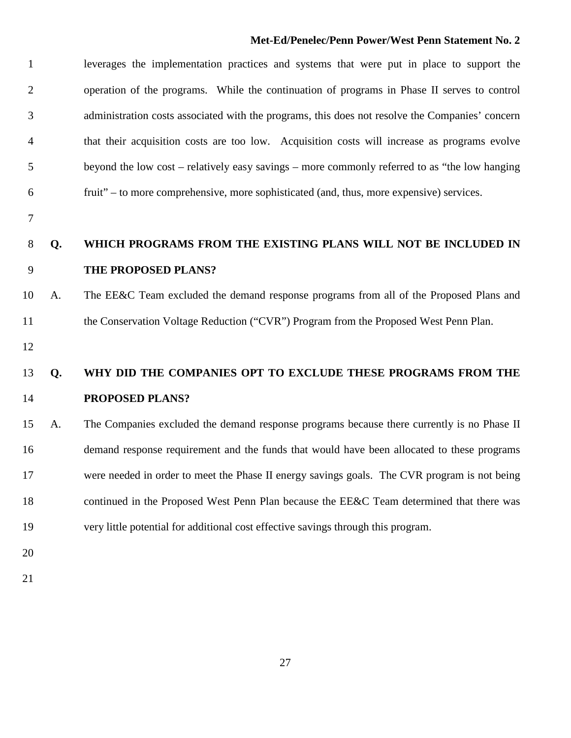| $\mathbf{1}$   |    | leverages the implementation practices and systems that were put in place to support the        |
|----------------|----|-------------------------------------------------------------------------------------------------|
| $\overline{2}$ |    | operation of the programs. While the continuation of programs in Phase II serves to control     |
| 3              |    | administration costs associated with the programs, this does not resolve the Companies' concern |
| 4              |    | that their acquisition costs are too low. Acquisition costs will increase as programs evolve    |
| 5              |    | beyond the low cost – relatively easy savings – more commonly referred to as "the low hanging   |
| 6              |    | fruit" – to more comprehensive, more sophisticated (and, thus, more expensive) services.        |
| 7              |    |                                                                                                 |
| 8              | Q. | WHICH PROGRAMS FROM THE EXISTING PLANS WILL NOT BE INCLUDED IN                                  |
| 9              |    | THE PROPOSED PLANS?                                                                             |
| 10             | A. | The EE&C Team excluded the demand response programs from all of the Proposed Plans and          |
| 11             |    | the Conservation Voltage Reduction ("CVR") Program from the Proposed West Penn Plan.            |
| 12             |    |                                                                                                 |
| 13             | Q. | WHY DID THE COMPANIES OPT TO EXCLUDE THESE PROGRAMS FROM THE                                    |
| 14             |    | PROPOSED PLANS?                                                                                 |
| 15             | A. | The Companies excluded the demand response programs because there currently is no Phase II      |
| 16             |    | demand response requirement and the funds that would have been allocated to these programs      |
| 17             |    | were needed in order to meet the Phase II energy savings goals. The CVR program is not being    |
| 18             |    | continued in the Proposed West Penn Plan because the EE&C Team determined that there was        |
| 19             |    | very little potential for additional cost effective savings through this program.               |
| 20             |    |                                                                                                 |
| 21             |    |                                                                                                 |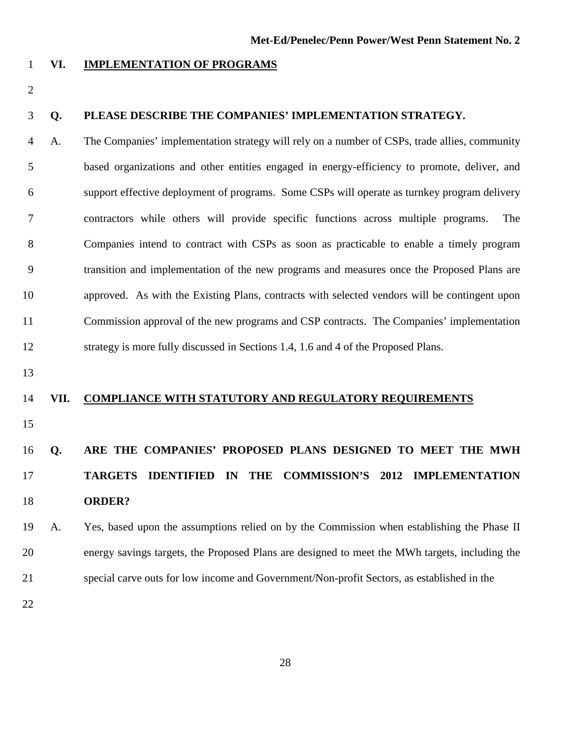#### **VI. IMPLEMENTATION OF PROGRAMS**

#### **Q. PLEASE DESCRIBE THE COMPANIES' IMPLEMENTATION STRATEGY.**

 A.The Companies' implementation strategy will rely on a number of CSPs, trade allies, community based organizations and other entities engaged in energy-efficiency to promote, deliver, and support effective deployment of programs. Some CSPs will operate as turnkey program delivery contractors while others will provide specific functions across multiple programs. The Companies intend to contract with CSPs as soon as practicable to enable a timely program transition and implementation of the new programs and measures once the Proposed Plans are approved. As with the Existing Plans, contracts with selected vendors will be contingent upon Commission approval of the new programs and CSP contracts. The Companies' implementation strategy is more fully discussed in Sections 1.4, 1.6 and 4 of the Proposed Plans.

#### **VII. COMPLIANCE WITH STATUTORY AND REGULATORY REQUIREMENTS**

### **Q. ARE THE COMPANIES' PROPOSED PLANS DESIGNED TO MEET THE MWH TARGETS IDENTIFIED IN THE COMMISSION'S 2012 IMPLEMENTATION ORDER?**

 A. Yes, based upon the assumptions relied on by the Commission when establishing the Phase II energy savings targets, the Proposed Plans are designed to meet the MWh targets, including the special carve outs for low income and Government/Non-profit Sectors, as established in the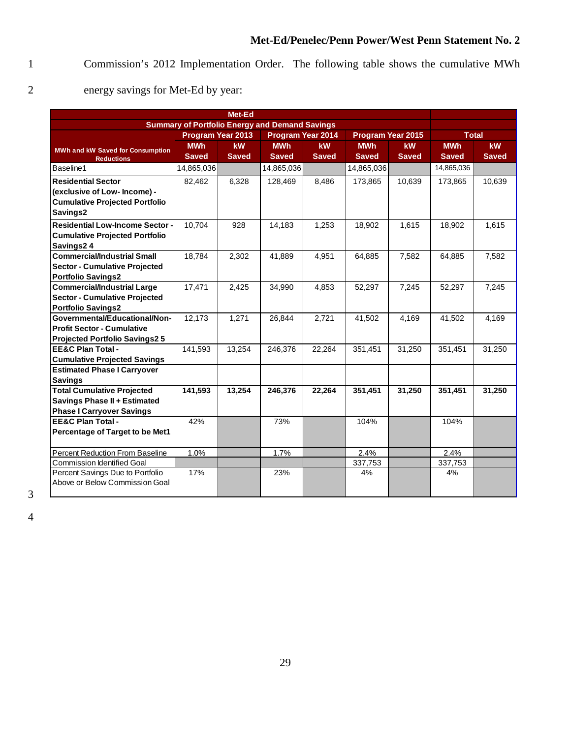1 Commission's 2012 Implementation Order. The following table shows the cumulative MWh

2 energy savings for Met-Ed by year:

| Met-Ed                                  |                                                                                  |              |                                                       |              |              |              |              |              |  |
|-----------------------------------------|----------------------------------------------------------------------------------|--------------|-------------------------------------------------------|--------------|--------------|--------------|--------------|--------------|--|
|                                         |                                                                                  |              | <b>Summary of Portfolio Energy and Demand Savings</b> |              |              |              |              |              |  |
|                                         | <b>Program Year 2014</b><br><b>Program Year 2015</b><br><b>Program Year 2013</b> |              |                                                       |              |              |              | <b>Total</b> |              |  |
| <b>MWh and kW Saved for Consumption</b> | <b>MWh</b>                                                                       | kW           | <b>MWh</b>                                            | <b>kW</b>    | <b>MWh</b>   | <b>kW</b>    | <b>MWh</b>   | <b>kW</b>    |  |
| <b>Reductions</b>                       | <b>Saved</b>                                                                     | <b>Saved</b> | <b>Saved</b>                                          | <b>Saved</b> | <b>Saved</b> | <b>Saved</b> | <b>Saved</b> | <b>Saved</b> |  |
| Baseline1                               | 14,865,036                                                                       |              | 14,865,036                                            |              | 14,865,036   |              | 14,865,036   |              |  |
| <b>Residential Sector</b>               | 82,462                                                                           | 6,328        | 128,469                                               | 8,486        | 173,865      | 10,639       | 173,865      | 10,639       |  |
| (exclusive of Low- Income) -            |                                                                                  |              |                                                       |              |              |              |              |              |  |
| <b>Cumulative Projected Portfolio</b>   |                                                                                  |              |                                                       |              |              |              |              |              |  |
| Savings2                                |                                                                                  |              |                                                       |              |              |              |              |              |  |
| <b>Residential Low-Income Sector -</b>  | 10,704                                                                           | 928          | 14,183                                                | 1,253        | 18,902       | 1,615        | 18,902       | 1,615        |  |
| <b>Cumulative Projected Portfolio</b>   |                                                                                  |              |                                                       |              |              |              |              |              |  |
| Savings24                               |                                                                                  |              |                                                       |              |              |              |              |              |  |
| <b>Commercial/Industrial Small</b>      | 18,784                                                                           | 2,302        | 41,889                                                | 4,951        | 64,885       | 7,582        | 64,885       | 7,582        |  |
| <b>Sector - Cumulative Projected</b>    |                                                                                  |              |                                                       |              |              |              |              |              |  |
| <b>Portfolio Savings2</b>               |                                                                                  |              |                                                       |              |              |              |              |              |  |
| <b>Commercial/Industrial Large</b>      | 17,471                                                                           | 2,425        | 34,990                                                | 4,853        | 52,297       | 7,245        | 52,297       | 7,245        |  |
| <b>Sector - Cumulative Projected</b>    |                                                                                  |              |                                                       |              |              |              |              |              |  |
| <b>Portfolio Savings2</b>               |                                                                                  |              |                                                       |              |              |              |              |              |  |
| Governmental/Educational/Non-           | 12,173                                                                           | 1,271        | 26,844                                                | 2,721        | 41,502       | 4,169        | 41,502       | 4,169        |  |
| <b>Profit Sector - Cumulative</b>       |                                                                                  |              |                                                       |              |              |              |              |              |  |
| <b>Projected Portfolio Savings2 5</b>   |                                                                                  |              |                                                       |              |              |              |              |              |  |
| <b>EE&amp;C Plan Total -</b>            | 141,593                                                                          | 13,254       | 246.376                                               | 22,264       | 351,451      | 31,250       | 351,451      | 31,250       |  |
| <b>Cumulative Projected Savings</b>     |                                                                                  |              |                                                       |              |              |              |              |              |  |
| <b>Estimated Phase I Carryover</b>      |                                                                                  |              |                                                       |              |              |              |              |              |  |
| <b>Savings</b>                          |                                                                                  |              |                                                       |              |              |              |              |              |  |
| <b>Total Cumulative Projected</b>       | 141,593                                                                          | 13,254       | 246,376                                               | 22,264       | 351,451      | 31,250       | 351,451      | 31,250       |  |
| <b>Savings Phase II + Estimated</b>     |                                                                                  |              |                                                       |              |              |              |              |              |  |
| <b>Phase I Carryover Savings</b>        |                                                                                  |              |                                                       |              |              |              |              |              |  |
| <b>EE&amp;C Plan Total -</b>            | 42%                                                                              |              | 73%                                                   |              | 104%         |              | 104%         |              |  |
| Percentage of Target to be Met1         |                                                                                  |              |                                                       |              |              |              |              |              |  |
| Percent Reduction From Baseline         | 1.0%                                                                             |              | 1.7%                                                  |              | 2.4%         |              | 2.4%         |              |  |
| <b>Commission Identified Goal</b>       |                                                                                  |              |                                                       |              | 337,753      |              | 337,753      |              |  |
| Percent Savings Due to Portfolio        | 17%                                                                              |              | 23%                                                   |              | 4%           |              | 4%           |              |  |
| Above or Below Commission Goal          |                                                                                  |              |                                                       |              |              |              |              |              |  |
|                                         |                                                                                  |              |                                                       |              |              |              |              |              |  |

3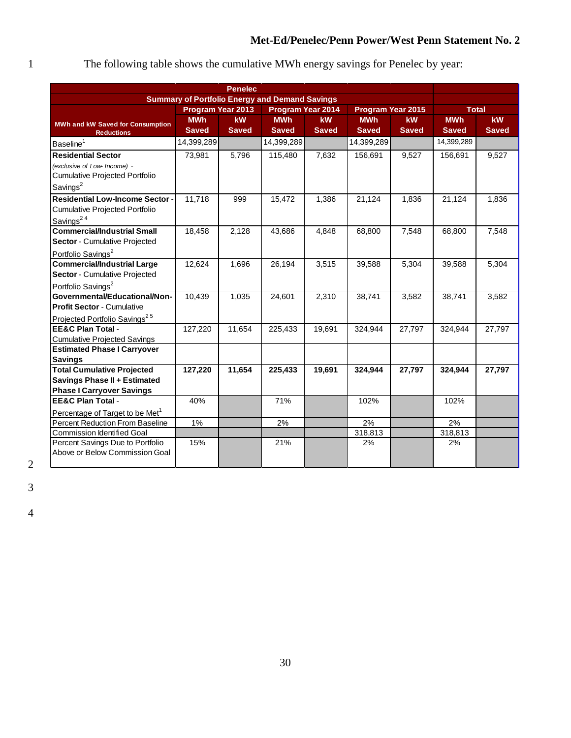### 1 The following table shows the cumulative MWh energy savings for Penelec by year:

| <b>Penelec</b>                                                     |                                                       |              |                          |              |                   |              |              |              |
|--------------------------------------------------------------------|-------------------------------------------------------|--------------|--------------------------|--------------|-------------------|--------------|--------------|--------------|
|                                                                    | <b>Summary of Portfolio Energy and Demand Savings</b> |              |                          |              |                   |              |              |              |
|                                                                    | <b>Program Year 2013</b>                              |              | <b>Program Year 2014</b> |              | Program Year 2015 |              | <b>Total</b> |              |
| <b>MWh and kW Saved for Consumption</b>                            | <b>MWh</b>                                            | kW           | <b>MWh</b>               | <b>kW</b>    | <b>MWh</b>        | <b>kW</b>    | <b>MWh</b>   | kW           |
| <b>Reductions</b>                                                  | <b>Saved</b>                                          | <b>Saved</b> | <b>Saved</b>             | <b>Saved</b> | <b>Saved</b>      | <b>Saved</b> | <b>Saved</b> | <b>Saved</b> |
| Baseline <sup>1</sup>                                              | 14,399,289                                            |              | 14,399,289               |              | 14,399,289        |              | 14,399,289   |              |
| <b>Residential Sector</b>                                          | 73,981                                                | 5,796        | 115,480                  | 7,632        | 156,691           | 9,527        | 156,691      | 9,527        |
| (exclusive of Low- Income) -                                       |                                                       |              |                          |              |                   |              |              |              |
| Cumulative Projected Portfolio                                     |                                                       |              |                          |              |                   |              |              |              |
| Savings <sup>2</sup>                                               |                                                       |              |                          |              |                   |              |              |              |
| <b>Residential Low-Income Sector -</b>                             | 11,718                                                | 999          | 15,472                   | 1,386        | 21,124            | 1,836        | 21,124       | 1,836        |
| Cumulative Projected Portfolio                                     |                                                       |              |                          |              |                   |              |              |              |
| Savings <sup>24</sup>                                              |                                                       |              |                          |              |                   |              |              |              |
| <b>Commercial/Industrial Small</b>                                 | 18,458                                                | 2,128        | 43,686                   | 4,848        | 68,800            | 7,548        | 68,800       | 7,548        |
| Sector - Cumulative Projected                                      |                                                       |              |                          |              |                   |              |              |              |
| Portfolio Savings <sup>2</sup>                                     |                                                       |              |                          |              |                   |              |              |              |
| <b>Commercial/Industrial Large</b>                                 | 12,624                                                | 1,696        | 26,194                   | 3,515        | 39,588            | 5,304        | 39,588       | 5,304        |
| Sector - Cumulative Projected                                      |                                                       |              |                          |              |                   |              |              |              |
| Portfolio Savings <sup>2</sup>                                     |                                                       |              |                          |              |                   |              |              |              |
| Governmental/Educational/Non-                                      | 10,439                                                | 1,035        | 24,601                   | 2,310        | 38,741            | 3,582        | 38,741       | 3,582        |
| <b>Profit Sector - Cumulative</b>                                  |                                                       |              |                          |              |                   |              |              |              |
| Projected Portfolio Savings <sup>25</sup>                          |                                                       |              |                          |              |                   |              |              |              |
| <b>EE&amp;C Plan Total -</b>                                       | 127,220                                               | 11,654       | 225,433                  | 19,691       | 324,944           | 27,797       | 324,944      | 27,797       |
| <b>Cumulative Projected Savings</b>                                |                                                       |              |                          |              |                   |              |              |              |
| <b>Estimated Phase I Carryover</b>                                 |                                                       |              |                          |              |                   |              |              |              |
| <b>Savings</b>                                                     |                                                       |              |                          |              |                   |              |              |              |
| <b>Total Cumulative Projected</b>                                  | 127,220                                               | 11,654       | 225,433                  | 19,691       | 324,944           | 27,797       | 324,944      | 27,797       |
| <b>Savings Phase II + Estimated</b>                                |                                                       |              |                          |              |                   |              |              |              |
| <b>Phase I Carryover Savings</b><br><b>EE&amp;C Plan Total -</b>   |                                                       |              |                          |              |                   |              |              |              |
|                                                                    | 40%                                                   |              | 71%                      |              | 102%              |              | 102%         |              |
| Percentage of Target to be Met <sup>1</sup>                        |                                                       |              |                          |              |                   |              |              |              |
| Percent Reduction From Baseline                                    | 1%                                                    |              | 2%                       |              | 2%                |              | 2%           |              |
| <b>Commission Identified Goal</b>                                  |                                                       |              |                          |              | 318,813           |              | 318,813      |              |
| Percent Savings Due to Portfolio<br>Above or Below Commission Goal | 15%                                                   |              | 21%                      |              | 2%                |              | 2%           |              |
|                                                                    |                                                       |              |                          |              |                   |              |              |              |
|                                                                    |                                                       |              |                          |              |                   |              |              |              |

2

3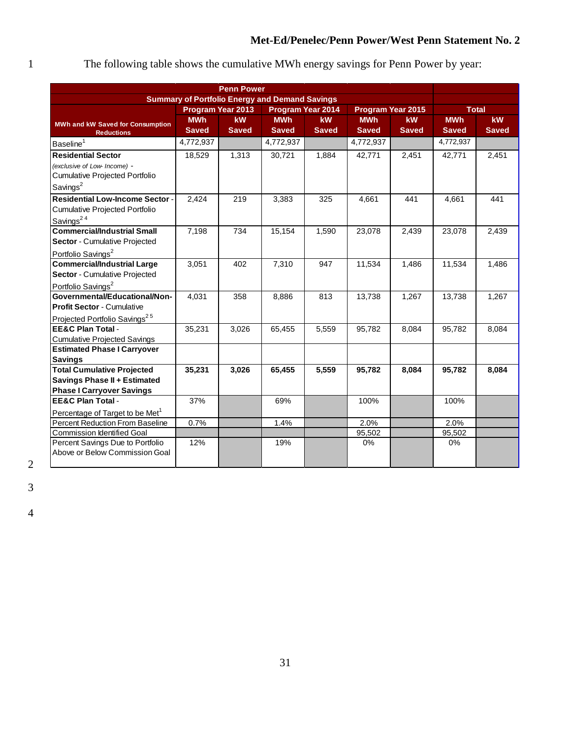### 1 The following table shows the cumulative MWh energy savings for Penn Power by year:

| <b>Summary of Portfolio Energy and Demand Savings</b><br><b>Program Year 2014</b><br>Program Year 2015<br><b>Total</b><br><b>Program Year 2013</b><br><b>MWh</b><br>kW<br><b>MWh</b><br>kW<br><b>MWh</b><br><b>kW</b><br><b>MWh</b><br><b>kW</b><br><b>MWh and kW Saved for Consumption</b><br><b>Saved</b><br><b>Saved</b><br><b>Saved</b><br><b>Saved</b><br><b>Saved</b><br><b>Saved</b><br><b>Saved</b><br><b>Saved</b><br><b>Reductions</b><br>4,772,937<br>4,772,937<br>4,772,937<br>4,772,937<br>1,313<br>18,529<br>30,721<br>1,884<br>42,771<br>2,451<br>42,771<br>2,451<br>Cumulative Projected Portfolio<br>Savings <sup>2</sup><br>2,424<br>219<br>3,383<br>441<br>325<br>4,661<br>441<br>4,661<br><b>Commercial/Industrial Small</b><br>7,198<br>734<br>15,154<br>1,590<br>23,078<br>2,439<br>23,078<br>2,439<br>402<br>7,310<br>11,534<br>11,534<br>3,051<br>947<br>1,486<br>1,486<br>4,031<br>358<br>8,886<br>813<br>13,738<br>1,267<br>13,738<br>1,267<br>35,231<br>3,026<br>65,455<br>5,559<br>95,782<br>95,782<br>8,084<br>8,084<br><b>Estimated Phase I Carryover</b><br><b>Savings</b><br><b>Total Cumulative Projected</b><br>35,231<br>3,026<br>5,559<br>95,782<br>95,782<br>65,455<br>8,084<br>8,084<br><b>Savings Phase II + Estimated</b><br><b>Phase I Carryover Savings</b><br>37%<br>100%<br><b>EE&amp;C Plan Total -</b><br>69%<br>100%<br>Percentage of Target to be Met <sup>1</sup><br><b>Percent Reduction From Baseline</b><br>0.7%<br>1.4%<br>2.0%<br>2.0%<br><b>Commission Identified Goal</b><br>95,502<br>95,502<br>Percent Savings Due to Portfolio<br>12%<br>19%<br>$0\%$<br>0%<br>Above or Below Commission Goal | <b>Penn Power</b>                         |  |  |  |  |  |  |  |  |
|----------------------------------------------------------------------------------------------------------------------------------------------------------------------------------------------------------------------------------------------------------------------------------------------------------------------------------------------------------------------------------------------------------------------------------------------------------------------------------------------------------------------------------------------------------------------------------------------------------------------------------------------------------------------------------------------------------------------------------------------------------------------------------------------------------------------------------------------------------------------------------------------------------------------------------------------------------------------------------------------------------------------------------------------------------------------------------------------------------------------------------------------------------------------------------------------------------------------------------------------------------------------------------------------------------------------------------------------------------------------------------------------------------------------------------------------------------------------------------------------------------------------------------------------------------------------------------------------------------------------------------------------------------|-------------------------------------------|--|--|--|--|--|--|--|--|
|                                                                                                                                                                                                                                                                                                                                                                                                                                                                                                                                                                                                                                                                                                                                                                                                                                                                                                                                                                                                                                                                                                                                                                                                                                                                                                                                                                                                                                                                                                                                                                                                                                                          |                                           |  |  |  |  |  |  |  |  |
|                                                                                                                                                                                                                                                                                                                                                                                                                                                                                                                                                                                                                                                                                                                                                                                                                                                                                                                                                                                                                                                                                                                                                                                                                                                                                                                                                                                                                                                                                                                                                                                                                                                          |                                           |  |  |  |  |  |  |  |  |
|                                                                                                                                                                                                                                                                                                                                                                                                                                                                                                                                                                                                                                                                                                                                                                                                                                                                                                                                                                                                                                                                                                                                                                                                                                                                                                                                                                                                                                                                                                                                                                                                                                                          |                                           |  |  |  |  |  |  |  |  |
|                                                                                                                                                                                                                                                                                                                                                                                                                                                                                                                                                                                                                                                                                                                                                                                                                                                                                                                                                                                                                                                                                                                                                                                                                                                                                                                                                                                                                                                                                                                                                                                                                                                          |                                           |  |  |  |  |  |  |  |  |
|                                                                                                                                                                                                                                                                                                                                                                                                                                                                                                                                                                                                                                                                                                                                                                                                                                                                                                                                                                                                                                                                                                                                                                                                                                                                                                                                                                                                                                                                                                                                                                                                                                                          | Baseline <sup>1</sup>                     |  |  |  |  |  |  |  |  |
|                                                                                                                                                                                                                                                                                                                                                                                                                                                                                                                                                                                                                                                                                                                                                                                                                                                                                                                                                                                                                                                                                                                                                                                                                                                                                                                                                                                                                                                                                                                                                                                                                                                          | <b>Residential Sector</b>                 |  |  |  |  |  |  |  |  |
|                                                                                                                                                                                                                                                                                                                                                                                                                                                                                                                                                                                                                                                                                                                                                                                                                                                                                                                                                                                                                                                                                                                                                                                                                                                                                                                                                                                                                                                                                                                                                                                                                                                          | (exclusive of Low- Income) -              |  |  |  |  |  |  |  |  |
|                                                                                                                                                                                                                                                                                                                                                                                                                                                                                                                                                                                                                                                                                                                                                                                                                                                                                                                                                                                                                                                                                                                                                                                                                                                                                                                                                                                                                                                                                                                                                                                                                                                          |                                           |  |  |  |  |  |  |  |  |
|                                                                                                                                                                                                                                                                                                                                                                                                                                                                                                                                                                                                                                                                                                                                                                                                                                                                                                                                                                                                                                                                                                                                                                                                                                                                                                                                                                                                                                                                                                                                                                                                                                                          |                                           |  |  |  |  |  |  |  |  |
|                                                                                                                                                                                                                                                                                                                                                                                                                                                                                                                                                                                                                                                                                                                                                                                                                                                                                                                                                                                                                                                                                                                                                                                                                                                                                                                                                                                                                                                                                                                                                                                                                                                          | <b>Residential Low-Income Sector -</b>    |  |  |  |  |  |  |  |  |
|                                                                                                                                                                                                                                                                                                                                                                                                                                                                                                                                                                                                                                                                                                                                                                                                                                                                                                                                                                                                                                                                                                                                                                                                                                                                                                                                                                                                                                                                                                                                                                                                                                                          | Cumulative Projected Portfolio            |  |  |  |  |  |  |  |  |
|                                                                                                                                                                                                                                                                                                                                                                                                                                                                                                                                                                                                                                                                                                                                                                                                                                                                                                                                                                                                                                                                                                                                                                                                                                                                                                                                                                                                                                                                                                                                                                                                                                                          | Savings <sup>24</sup>                     |  |  |  |  |  |  |  |  |
|                                                                                                                                                                                                                                                                                                                                                                                                                                                                                                                                                                                                                                                                                                                                                                                                                                                                                                                                                                                                                                                                                                                                                                                                                                                                                                                                                                                                                                                                                                                                                                                                                                                          |                                           |  |  |  |  |  |  |  |  |
|                                                                                                                                                                                                                                                                                                                                                                                                                                                                                                                                                                                                                                                                                                                                                                                                                                                                                                                                                                                                                                                                                                                                                                                                                                                                                                                                                                                                                                                                                                                                                                                                                                                          | Sector - Cumulative Projected             |  |  |  |  |  |  |  |  |
|                                                                                                                                                                                                                                                                                                                                                                                                                                                                                                                                                                                                                                                                                                                                                                                                                                                                                                                                                                                                                                                                                                                                                                                                                                                                                                                                                                                                                                                                                                                                                                                                                                                          | Portfolio Savings <sup>2</sup>            |  |  |  |  |  |  |  |  |
|                                                                                                                                                                                                                                                                                                                                                                                                                                                                                                                                                                                                                                                                                                                                                                                                                                                                                                                                                                                                                                                                                                                                                                                                                                                                                                                                                                                                                                                                                                                                                                                                                                                          | <b>Commercial/Industrial Large</b>        |  |  |  |  |  |  |  |  |
|                                                                                                                                                                                                                                                                                                                                                                                                                                                                                                                                                                                                                                                                                                                                                                                                                                                                                                                                                                                                                                                                                                                                                                                                                                                                                                                                                                                                                                                                                                                                                                                                                                                          | Sector - Cumulative Projected             |  |  |  |  |  |  |  |  |
|                                                                                                                                                                                                                                                                                                                                                                                                                                                                                                                                                                                                                                                                                                                                                                                                                                                                                                                                                                                                                                                                                                                                                                                                                                                                                                                                                                                                                                                                                                                                                                                                                                                          | Portfolio Savings <sup>2</sup>            |  |  |  |  |  |  |  |  |
|                                                                                                                                                                                                                                                                                                                                                                                                                                                                                                                                                                                                                                                                                                                                                                                                                                                                                                                                                                                                                                                                                                                                                                                                                                                                                                                                                                                                                                                                                                                                                                                                                                                          | Governmental/Educational/Non-             |  |  |  |  |  |  |  |  |
|                                                                                                                                                                                                                                                                                                                                                                                                                                                                                                                                                                                                                                                                                                                                                                                                                                                                                                                                                                                                                                                                                                                                                                                                                                                                                                                                                                                                                                                                                                                                                                                                                                                          | <b>Profit Sector - Cumulative</b>         |  |  |  |  |  |  |  |  |
|                                                                                                                                                                                                                                                                                                                                                                                                                                                                                                                                                                                                                                                                                                                                                                                                                                                                                                                                                                                                                                                                                                                                                                                                                                                                                                                                                                                                                                                                                                                                                                                                                                                          | Projected Portfolio Savings <sup>25</sup> |  |  |  |  |  |  |  |  |
|                                                                                                                                                                                                                                                                                                                                                                                                                                                                                                                                                                                                                                                                                                                                                                                                                                                                                                                                                                                                                                                                                                                                                                                                                                                                                                                                                                                                                                                                                                                                                                                                                                                          | <b>EE&amp;C Plan Total -</b>              |  |  |  |  |  |  |  |  |
|                                                                                                                                                                                                                                                                                                                                                                                                                                                                                                                                                                                                                                                                                                                                                                                                                                                                                                                                                                                                                                                                                                                                                                                                                                                                                                                                                                                                                                                                                                                                                                                                                                                          | <b>Cumulative Projected Savings</b>       |  |  |  |  |  |  |  |  |
|                                                                                                                                                                                                                                                                                                                                                                                                                                                                                                                                                                                                                                                                                                                                                                                                                                                                                                                                                                                                                                                                                                                                                                                                                                                                                                                                                                                                                                                                                                                                                                                                                                                          |                                           |  |  |  |  |  |  |  |  |
|                                                                                                                                                                                                                                                                                                                                                                                                                                                                                                                                                                                                                                                                                                                                                                                                                                                                                                                                                                                                                                                                                                                                                                                                                                                                                                                                                                                                                                                                                                                                                                                                                                                          |                                           |  |  |  |  |  |  |  |  |
|                                                                                                                                                                                                                                                                                                                                                                                                                                                                                                                                                                                                                                                                                                                                                                                                                                                                                                                                                                                                                                                                                                                                                                                                                                                                                                                                                                                                                                                                                                                                                                                                                                                          |                                           |  |  |  |  |  |  |  |  |
|                                                                                                                                                                                                                                                                                                                                                                                                                                                                                                                                                                                                                                                                                                                                                                                                                                                                                                                                                                                                                                                                                                                                                                                                                                                                                                                                                                                                                                                                                                                                                                                                                                                          |                                           |  |  |  |  |  |  |  |  |
|                                                                                                                                                                                                                                                                                                                                                                                                                                                                                                                                                                                                                                                                                                                                                                                                                                                                                                                                                                                                                                                                                                                                                                                                                                                                                                                                                                                                                                                                                                                                                                                                                                                          |                                           |  |  |  |  |  |  |  |  |
|                                                                                                                                                                                                                                                                                                                                                                                                                                                                                                                                                                                                                                                                                                                                                                                                                                                                                                                                                                                                                                                                                                                                                                                                                                                                                                                                                                                                                                                                                                                                                                                                                                                          |                                           |  |  |  |  |  |  |  |  |
|                                                                                                                                                                                                                                                                                                                                                                                                                                                                                                                                                                                                                                                                                                                                                                                                                                                                                                                                                                                                                                                                                                                                                                                                                                                                                                                                                                                                                                                                                                                                                                                                                                                          |                                           |  |  |  |  |  |  |  |  |
|                                                                                                                                                                                                                                                                                                                                                                                                                                                                                                                                                                                                                                                                                                                                                                                                                                                                                                                                                                                                                                                                                                                                                                                                                                                                                                                                                                                                                                                                                                                                                                                                                                                          |                                           |  |  |  |  |  |  |  |  |
|                                                                                                                                                                                                                                                                                                                                                                                                                                                                                                                                                                                                                                                                                                                                                                                                                                                                                                                                                                                                                                                                                                                                                                                                                                                                                                                                                                                                                                                                                                                                                                                                                                                          |                                           |  |  |  |  |  |  |  |  |
|                                                                                                                                                                                                                                                                                                                                                                                                                                                                                                                                                                                                                                                                                                                                                                                                                                                                                                                                                                                                                                                                                                                                                                                                                                                                                                                                                                                                                                                                                                                                                                                                                                                          |                                           |  |  |  |  |  |  |  |  |
|                                                                                                                                                                                                                                                                                                                                                                                                                                                                                                                                                                                                                                                                                                                                                                                                                                                                                                                                                                                                                                                                                                                                                                                                                                                                                                                                                                                                                                                                                                                                                                                                                                                          |                                           |  |  |  |  |  |  |  |  |

2

3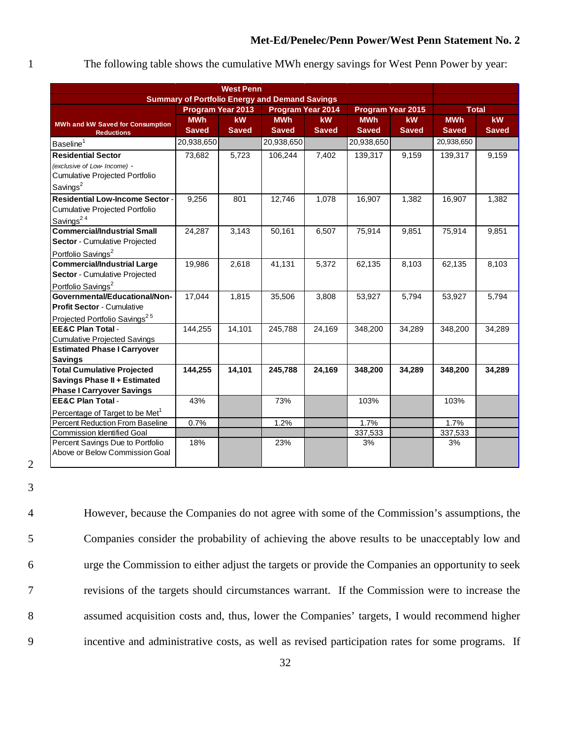#### 1 The following table shows the cumulative MWh energy savings for West Penn Power by year:

| <b>West Penn</b>                                                      |                                                       |              |                          |              |                   |              |               |              |  |
|-----------------------------------------------------------------------|-------------------------------------------------------|--------------|--------------------------|--------------|-------------------|--------------|---------------|--------------|--|
|                                                                       | <b>Summary of Portfolio Energy and Demand Savings</b> |              |                          |              |                   |              |               |              |  |
|                                                                       | <b>Program Year 2013</b>                              |              | <b>Program Year 2014</b> |              | Program Year 2015 |              | <b>Total</b>  |              |  |
| <b>MWh and kW Saved for Consumption</b>                               | <b>MWh</b>                                            | kW           | <b>MWh</b>               | <b>kW</b>    | <b>MWh</b>        | <b>kW</b>    | <b>MWh</b>    | <b>kW</b>    |  |
| <b>Reductions</b>                                                     | <b>Saved</b>                                          | <b>Saved</b> | <b>Saved</b>             | <b>Saved</b> | <b>Saved</b>      | <b>Saved</b> | <b>Saved</b>  | <b>Saved</b> |  |
| Baseline <sup>1</sup>                                                 | 20,938,650                                            |              | 20,938,650               |              | 20,938,650        |              | 20,938,650    |              |  |
| <b>Residential Sector</b>                                             | 73,682                                                | 5,723        | 106,244                  | 7,402        | 139,317           | 9,159        | 139,317       | 9,159        |  |
| (exclusive of Low- Income) -                                          |                                                       |              |                          |              |                   |              |               |              |  |
| Cumulative Projected Portfolio                                        |                                                       |              |                          |              |                   |              |               |              |  |
| Savings <sup>2</sup>                                                  |                                                       |              |                          |              |                   |              |               |              |  |
| <b>Residential Low-Income Sector -</b>                                | 9,256                                                 | 801          | 12,746                   | 1,078        | 16,907            | 1,382        | 16,907        | 1,382        |  |
| Cumulative Projected Portfolio                                        |                                                       |              |                          |              |                   |              |               |              |  |
| Savings <sup>24</sup>                                                 |                                                       |              |                          |              |                   |              |               |              |  |
| <b>Commercial/Industrial Small</b>                                    | 24,287                                                | 3,143        | 50,161                   | 6,507        | 75,914            | 9,851        | 75,914        | 9,851        |  |
| Sector - Cumulative Projected                                         |                                                       |              |                          |              |                   |              |               |              |  |
| Portfolio Savings <sup>2</sup>                                        |                                                       |              |                          |              |                   |              |               |              |  |
| <b>Commercial/Industrial Large</b>                                    | 19,986                                                | 2,618        | 41,131                   | 5,372        | 62,135            | 8,103        | 62,135        | 8,103        |  |
| Sector - Cumulative Projected                                         |                                                       |              |                          |              |                   |              |               |              |  |
| Portfolio Savings <sup>2</sup>                                        |                                                       |              |                          |              |                   |              |               |              |  |
| Governmental/Educational/Non-                                         | 17,044                                                | 1,815        | 35,506                   | 3,808        | 53,927            | 5,794        | 53,927        | 5,794        |  |
| <b>Profit Sector - Cumulative</b>                                     |                                                       |              |                          |              |                   |              |               |              |  |
| Projected Portfolio Savings <sup>25</sup>                             |                                                       |              |                          |              |                   |              |               |              |  |
| <b>EE&amp;C Plan Total -</b>                                          | 144,255                                               | 14,101       | 245,788                  | 24,169       | 348,200           | 34,289       | 348,200       | 34,289       |  |
| <b>Cumulative Projected Savings</b>                                   |                                                       |              |                          |              |                   |              |               |              |  |
| <b>Estimated Phase I Carryover</b>                                    |                                                       |              |                          |              |                   |              |               |              |  |
| <b>Savings</b>                                                        |                                                       |              |                          |              |                   |              |               |              |  |
| <b>Total Cumulative Projected</b>                                     | 144,255                                               | 14,101       | 245,788                  | 24,169       | 348,200           | 34,289       | 348,200       | 34,289       |  |
| <b>Savings Phase II + Estimated</b>                                   |                                                       |              |                          |              |                   |              |               |              |  |
| <b>Phase I Carryover Savings</b>                                      |                                                       |              |                          |              |                   |              |               |              |  |
| <b>EE&amp;C Plan Total -</b>                                          | 43%                                                   |              | 73%                      |              | 103%              |              | 103%          |              |  |
| Percentage of Target to be Met <sup>1</sup>                           |                                                       |              |                          |              |                   |              |               |              |  |
| <b>Percent Reduction From Baseline</b>                                | 0.7%                                                  |              | 1.2%                     |              | 1.7%              |              | 1.7%          |              |  |
| <b>Commission Identified Goal</b><br>Percent Savings Due to Portfolio | 18%                                                   |              | 23%                      |              | 337,533<br>3%     |              | 337,533<br>3% |              |  |
| Above or Below Commission Goal                                        |                                                       |              |                          |              |                   |              |               |              |  |
|                                                                       |                                                       |              |                          |              |                   |              |               |              |  |

2 3

 However, because the Companies do not agree with some of the Commission's assumptions, the Companies consider the probability of achieving the above results to be unacceptably low and urge the Commission to either adjust the targets or provide the Companies an opportunity to seek revisions of the targets should circumstances warrant. If the Commission were to increase the assumed acquisition costs and, thus, lower the Companies' targets, I would recommend higher incentive and administrative costs, as well as revised participation rates for some programs. If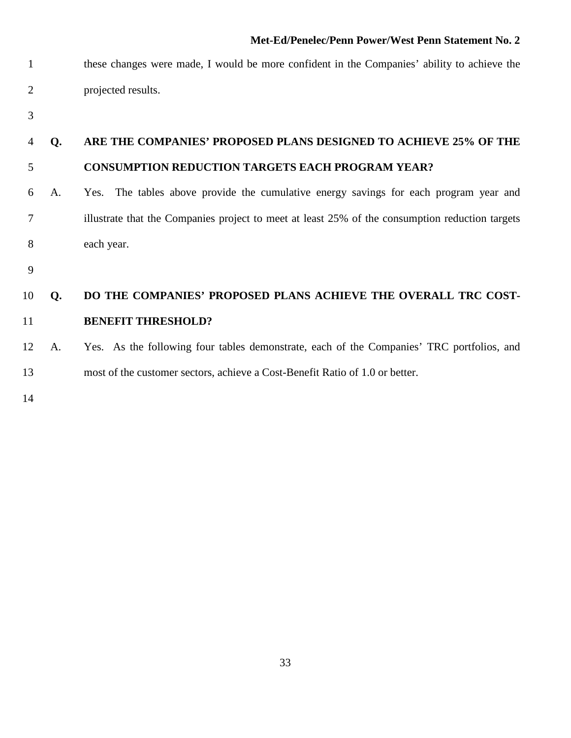- these changes were made, I would be more confident in the Companies' ability to achieve the projected results.
- 

### **Q. ARE THE COMPANIES' PROPOSED PLANS DESIGNED TO ACHIEVE 25% OF THE CONSUMPTION REDUCTION TARGETS EACH PROGRAM YEAR?**

- A. Yes. The tables above provide the cumulative energy savings for each program year and illustrate that the Companies project to meet at least 25% of the consumption reduction targets each year.
- 

### **Q. DO THE COMPANIES' PROPOSED PLANS ACHIEVE THE OVERALL TRC COST-BENEFIT THRESHOLD?**

 A.Yes. As the following four tables demonstrate, each of the Companies' TRC portfolios, and most of the customer sectors, achieve a Cost-Benefit Ratio of 1.0 or better.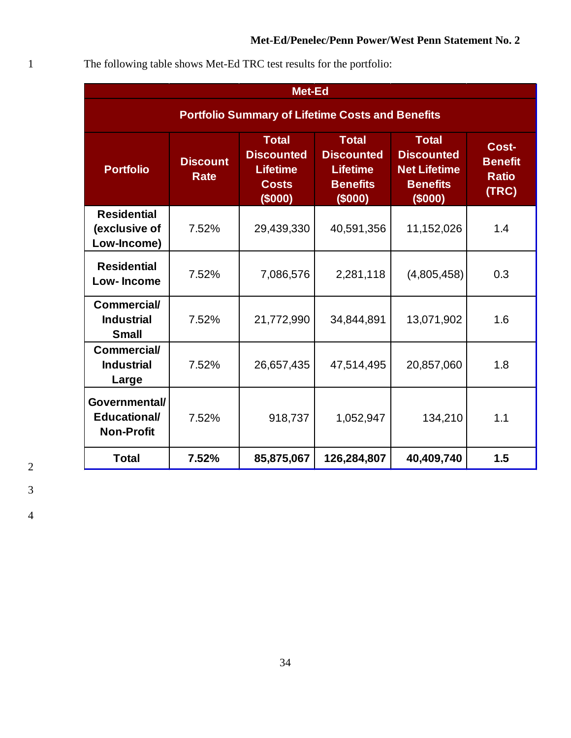| The following table shows Met-Ed TRC test results for the portfolio: |  |  |
|----------------------------------------------------------------------|--|--|
|                                                                      |  |  |

|                                                           | Met-Ed                                                  |                                                                                |                                                                                    |                                                                                        |                                                  |  |  |  |  |  |  |
|-----------------------------------------------------------|---------------------------------------------------------|--------------------------------------------------------------------------------|------------------------------------------------------------------------------------|----------------------------------------------------------------------------------------|--------------------------------------------------|--|--|--|--|--|--|
|                                                           | <b>Portfolio Summary of Lifetime Costs and Benefits</b> |                                                                                |                                                                                    |                                                                                        |                                                  |  |  |  |  |  |  |
| <b>Portfolio</b>                                          | <b>Discount</b><br><b>Rate</b>                          | <b>Total</b><br><b>Discounted</b><br><b>Lifetime</b><br><b>Costs</b><br>(5000) | <b>Total</b><br><b>Discounted</b><br><b>Lifetime</b><br><b>Benefits</b><br>(\$000) | <b>Total</b><br><b>Discounted</b><br><b>Net Lifetime</b><br><b>Benefits</b><br>(\$000) | Cost-<br><b>Benefit</b><br><b>Ratio</b><br>(TRC) |  |  |  |  |  |  |
| <b>Residential</b><br>(exclusive of<br>Low-Income)        | 7.52%                                                   | 29,439,330                                                                     | 40,591,356                                                                         | 11,152,026                                                                             | 1.4                                              |  |  |  |  |  |  |
| <b>Residential</b><br>Low-Income                          | 7.52%                                                   | 7,086,576                                                                      | 2,281,118                                                                          | (4,805,458)                                                                            | 0.3                                              |  |  |  |  |  |  |
| <b>Commercial/</b><br><b>Industrial</b><br><b>Small</b>   | 7.52%                                                   | 21,772,990                                                                     | 34,844,891                                                                         | 13,071,902                                                                             | 1.6                                              |  |  |  |  |  |  |
| <b>Commercial/</b><br><b>Industrial</b><br>Large          | 7.52%                                                   | 26,657,435                                                                     | 47,514,495                                                                         | 20,857,060                                                                             | 1.8                                              |  |  |  |  |  |  |
| Governmental/<br><b>Educational/</b><br><b>Non-Profit</b> | 7.52%                                                   | 918,737                                                                        | 1,052,947                                                                          | 134,210                                                                                | 1.1                                              |  |  |  |  |  |  |
| <b>Total</b>                                              | 7.52%                                                   | 85,875,067                                                                     | 126,284,807                                                                        | 40,409,740                                                                             | 1.5                                              |  |  |  |  |  |  |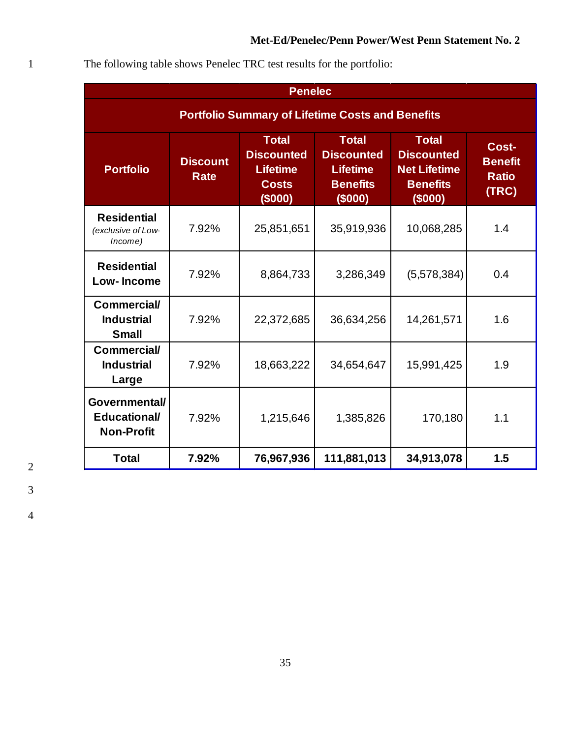| The following table shows Penelec TRC test results for the portfolio: |  |
|-----------------------------------------------------------------------|--|
|-----------------------------------------------------------------------|--|

|                                                           | <b>Penelec</b>                                          |                                                                                 |                                                                                    |                                                                                        |                                                  |  |  |  |  |  |  |
|-----------------------------------------------------------|---------------------------------------------------------|---------------------------------------------------------------------------------|------------------------------------------------------------------------------------|----------------------------------------------------------------------------------------|--------------------------------------------------|--|--|--|--|--|--|
|                                                           | <b>Portfolio Summary of Lifetime Costs and Benefits</b> |                                                                                 |                                                                                    |                                                                                        |                                                  |  |  |  |  |  |  |
| <b>Portfolio</b>                                          | <b>Discount</b><br><b>Rate</b>                          | <b>Total</b><br><b>Discounted</b><br><b>Lifetime</b><br><b>Costs</b><br>(\$000) | <b>Total</b><br><b>Discounted</b><br><b>Lifetime</b><br><b>Benefits</b><br>(\$000) | <b>Total</b><br><b>Discounted</b><br><b>Net Lifetime</b><br><b>Benefits</b><br>(\$000) | Cost-<br><b>Benefit</b><br><b>Ratio</b><br>(TRC) |  |  |  |  |  |  |
| <b>Residential</b><br>(exclusive of Low-<br>Income)       | 7.92%                                                   | 25,851,651                                                                      | 35,919,936                                                                         | 10,068,285                                                                             | 1.4                                              |  |  |  |  |  |  |
| <b>Residential</b><br>Low-Income                          | 7.92%                                                   | 8,864,733                                                                       | 3,286,349                                                                          | (5,578,384)                                                                            | 0.4                                              |  |  |  |  |  |  |
| <b>Commercial/</b><br><b>Industrial</b><br><b>Small</b>   | 7.92%                                                   | 22,372,685                                                                      | 36,634,256                                                                         | 14,261,571                                                                             | 1.6                                              |  |  |  |  |  |  |
| <b>Commercial/</b><br><b>Industrial</b><br>Large          | 7.92%                                                   | 18,663,222                                                                      | 34,654,647                                                                         | 15,991,425                                                                             | 1.9                                              |  |  |  |  |  |  |
| Governmental/<br><b>Educational/</b><br><b>Non-Profit</b> | 7.92%                                                   | 1,215,646                                                                       | 1,385,826                                                                          | 170,180                                                                                | 1.1                                              |  |  |  |  |  |  |
| <b>Total</b>                                              | 7.92%                                                   | 76,967,936                                                                      | 111,881,013                                                                        | 34,913,078                                                                             | 1.5                                              |  |  |  |  |  |  |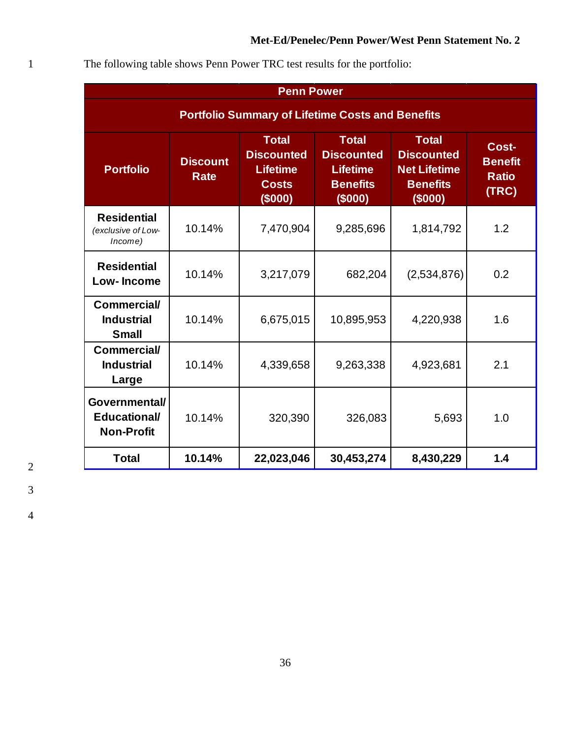| The following table shows Penn Power TRC test results for the portfolio: |  |
|--------------------------------------------------------------------------|--|

| <b>Penn Power</b>                                         |                         |                                                                                 |                                                                                    |                                                                                        |                                                  |  |  |  |  |
|-----------------------------------------------------------|-------------------------|---------------------------------------------------------------------------------|------------------------------------------------------------------------------------|----------------------------------------------------------------------------------------|--------------------------------------------------|--|--|--|--|
| <b>Portfolio Summary of Lifetime Costs and Benefits</b>   |                         |                                                                                 |                                                                                    |                                                                                        |                                                  |  |  |  |  |
| <b>Portfolio</b>                                          | <b>Discount</b><br>Rate | <b>Total</b><br><b>Discounted</b><br><b>Lifetime</b><br><b>Costs</b><br>(\$000) | <b>Total</b><br><b>Discounted</b><br><b>Lifetime</b><br><b>Benefits</b><br>(\$000) | <b>Total</b><br><b>Discounted</b><br><b>Net Lifetime</b><br><b>Benefits</b><br>(\$000) | Cost-<br><b>Benefit</b><br><b>Ratio</b><br>(TRC) |  |  |  |  |
| <b>Residential</b><br>(exclusive of Low-<br>Income)       | 10.14%                  | 7,470,904                                                                       | 9,285,696                                                                          | 1,814,792                                                                              | 1.2                                              |  |  |  |  |
| <b>Residential</b><br><b>Low-Income</b>                   | 10.14%                  | 3,217,079                                                                       | 682,204                                                                            | (2,534,876)                                                                            | 0.2                                              |  |  |  |  |
| <b>Commercial/</b><br><b>Industrial</b><br><b>Small</b>   | 10.14%                  | 6,675,015                                                                       | 10,895,953                                                                         | 4,220,938                                                                              | 1.6                                              |  |  |  |  |
| <b>Commercial/</b><br><b>Industrial</b><br>Large          | 10.14%                  | 4,339,658                                                                       | 9,263,338                                                                          | 4,923,681                                                                              | 2.1                                              |  |  |  |  |
| Governmental/<br><b>Educational/</b><br><b>Non-Profit</b> | 10.14%                  | 320,390                                                                         | 326,083                                                                            | 5,693                                                                                  | 1.0                                              |  |  |  |  |
| <b>Total</b>                                              | 10.14%                  | 22,023,046                                                                      | 30,453,274                                                                         | 8,430,229                                                                              | 1.4                                              |  |  |  |  |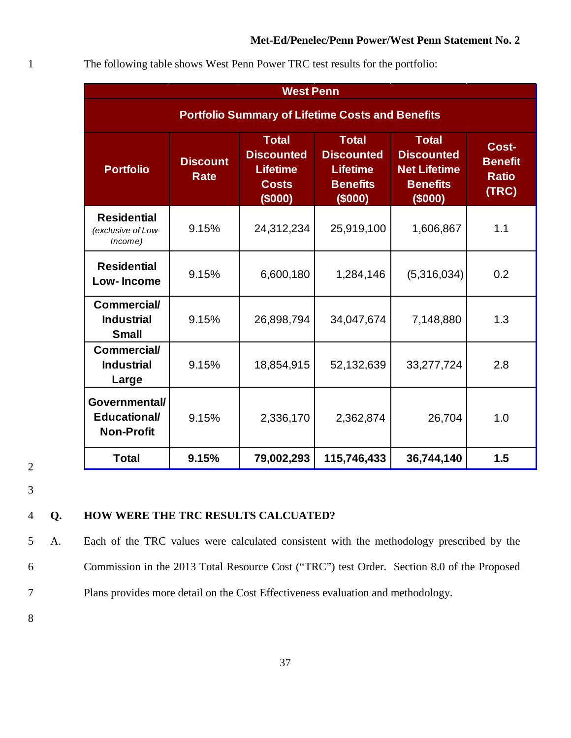|                                                           | <b>West Penn</b>                                        |                                                                                 |                                                                                    |                                                                                        |                                                  |  |  |  |  |  |  |
|-----------------------------------------------------------|---------------------------------------------------------|---------------------------------------------------------------------------------|------------------------------------------------------------------------------------|----------------------------------------------------------------------------------------|--------------------------------------------------|--|--|--|--|--|--|
|                                                           | <b>Portfolio Summary of Lifetime Costs and Benefits</b> |                                                                                 |                                                                                    |                                                                                        |                                                  |  |  |  |  |  |  |
| <b>Portfolio</b>                                          | <b>Discount</b><br><b>Rate</b>                          | <b>Total</b><br><b>Discounted</b><br><b>Lifetime</b><br><b>Costs</b><br>(\$000) | <b>Total</b><br><b>Discounted</b><br><b>Lifetime</b><br><b>Benefits</b><br>(\$000) | <b>Total</b><br><b>Discounted</b><br><b>Net Lifetime</b><br><b>Benefits</b><br>(\$000) | Cost-<br><b>Benefit</b><br><b>Ratio</b><br>(TRC) |  |  |  |  |  |  |
| <b>Residential</b><br>(exclusive of Low-<br>Income)       | 9.15%                                                   | 24,312,234                                                                      | 25,919,100                                                                         | 1,606,867                                                                              | 1.1                                              |  |  |  |  |  |  |
| <b>Residential</b><br><b>Low-Income</b>                   | 9.15%                                                   | 6,600,180                                                                       | 1,284,146                                                                          | (5,316,034)                                                                            | 0.2                                              |  |  |  |  |  |  |
| <b>Commercial/</b><br><b>Industrial</b><br><b>Small</b>   | 9.15%                                                   | 26,898,794                                                                      | 34,047,674                                                                         | 7,148,880                                                                              | 1.3                                              |  |  |  |  |  |  |
| <b>Commercial/</b><br><b>Industrial</b><br>Large          | 9.15%                                                   | 18,854,915                                                                      | 52,132,639                                                                         | 33,277,724                                                                             | 2.8                                              |  |  |  |  |  |  |
| Governmental/<br><b>Educational/</b><br><b>Non-Profit</b> | 9.15%                                                   | 2,336,170                                                                       | 2,362,874                                                                          | 26,704                                                                                 | 1.0                                              |  |  |  |  |  |  |
| <b>Total</b>                                              | 9.15%                                                   | 79,002,293                                                                      | 115,746,433                                                                        | 36,744,140                                                                             | 1.5                                              |  |  |  |  |  |  |

1 The following table shows West Penn Power TRC test results for the portfolio:

3

2

#### 4 **Q. HOW WERE THE TRC RESULTS CALCUATED?**

5 A. Each of the TRC values were calculated consistent with the methodology prescribed by the 6 Commission in the 2013 Total Resource Cost ("TRC") test Order. Section 8.0 of the Proposed 7 Plans provides more detail on the Cost Effectiveness evaluation and methodology.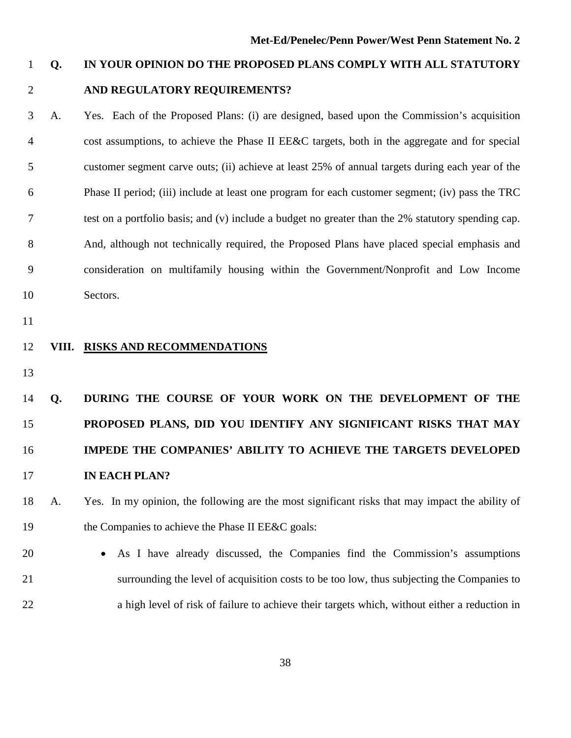### **Q. IN YOUR OPINION DO THE PROPOSED PLANS COMPLY WITH ALL STATUTORY AND REGULATORY REQUIREMENTS?**

 A. Yes. Each of the Proposed Plans: (i) are designed, based upon the Commission's acquisition cost assumptions, to achieve the Phase II EE&C targets, both in the aggregate and for special customer segment carve outs; (ii) achieve at least 25% of annual targets during each year of the Phase II period; (iii) include at least one program for each customer segment; (iv) pass the TRC test on a portfolio basis; and (v) include a budget no greater than the 2% statutory spending cap. And, although not technically required, the Proposed Plans have placed special emphasis and consideration on multifamily housing within the Government/Nonprofit and Low Income Sectors.

#### **VIII. RISKS AND RECOMMENDATIONS**

## **Q. DURING THE COURSE OF YOUR WORK ON THE DEVELOPMENT OF THE PROPOSED PLANS, DID YOU IDENTIFY ANY SIGNIFICANT RISKS THAT MAY IMPEDE THE COMPANIES' ABILITY TO ACHIEVE THE TARGETS DEVELOPED IN EACH PLAN?**

### A. Yes. In my opinion, the following are the most significant risks that may impact the ability of 19 the Companies to achieve the Phase II EE&C goals:

 • As I have already discussed, the Companies find the Commission's assumptions surrounding the level of acquisition costs to be too low, thus subjecting the Companies to a high level of risk of failure to achieve their targets which, without either a reduction in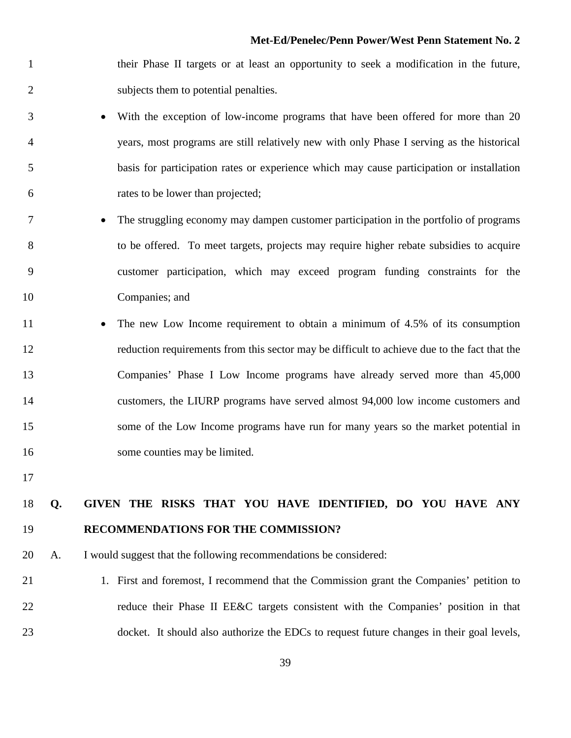- their Phase II targets or at least an opportunity to seek a modification in the future, subjects them to potential penalties.
- With the exception of low-income programs that have been offered for more than 20 years, most programs are still relatively new with only Phase I serving as the historical basis for participation rates or experience which may cause participation or installation rates to be lower than projected;
- The struggling economy may dampen customer participation in the portfolio of programs to be offered. To meet targets, projects may require higher rebate subsidies to acquire customer participation, which may exceed program funding constraints for the Companies; and
- 11 The new Low Income requirement to obtain a minimum of 4.5% of its consumption reduction requirements from this sector may be difficult to achieve due to the fact that the Companies' Phase I Low Income programs have already served more than 45,000 customers, the LIURP programs have served almost 94,000 low income customers and some of the Low Income programs have run for many years so the market potential in 16 some counties may be limited.
- 

### **Q. GIVEN THE RISKS THAT YOU HAVE IDENTIFIED, DO YOU HAVE ANY RECOMMENDATIONS FOR THE COMMISSION?**

- A. I would suggest that the following recommendations be considered:
- 1. First and foremost, I recommend that the Commission grant the Companies' petition to reduce their Phase II EE&C targets consistent with the Companies' position in that 23 docket. It should also authorize the EDCs to request future changes in their goal levels,